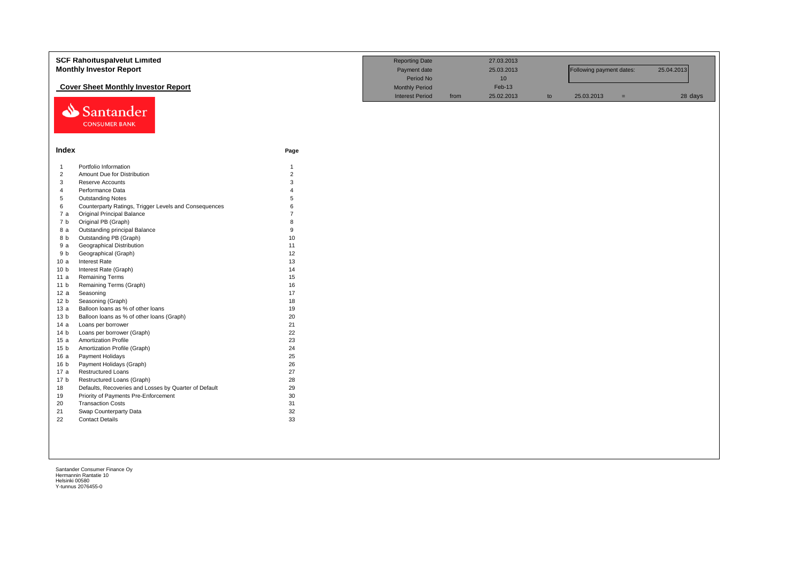| <b>Monthly Investor Report</b><br>Following payment dates:<br>Period No<br>10<br><b>Cover Sheet Monthly Investor Report</b><br>Feb-13<br><b>Monthly Period</b><br><b>Interest Period</b><br>25.02.2013<br>25.03.2013<br>28 days<br>from<br>to<br>$=$<br>Santander<br><b>CONSUMER BANK</b><br>Index<br>Page<br>Portfolio Information<br>$\overline{1}$<br>$\mathbf{1}$<br>$\overline{2}$<br>$\overline{2}$<br>Amount Due for Distribution<br>3<br>3<br>Reserve Accounts<br>$\overline{4}$<br>Performance Data<br>5<br><b>Outstanding Notes</b><br>5<br>6<br>Counterparty Ratings, Trigger Levels and Consequences<br>6<br>7a<br><b>Original Principal Balance</b><br>Original PB (Graph)<br>7 b<br>8<br>9<br>Outstanding principal Balance<br>8 a<br>10<br>Outstanding PB (Graph)<br>8 b<br><b>Geographical Distribution</b><br>11<br>9 a<br>Geographical (Graph)<br>12<br>9 b<br><b>Interest Rate</b><br>13<br>10a<br>Interest Rate (Graph)<br>14<br>10 <sub>b</sub><br><b>Remaining Terms</b><br>15<br>11a<br>Remaining Terms (Graph)<br>16<br>11 <sub>b</sub><br>17<br>Seasoning<br>12a<br>18<br>12 <sub>b</sub><br>Seasoning (Graph)<br>19<br>Balloon loans as % of other loans<br>13a<br>20<br>Balloon loans as % of other loans (Graph)<br>13 <sub>b</sub><br>21<br>Loans per borrower<br>14 a<br>22<br>14 <sub>b</sub><br>Loans per borrower (Graph)<br>23<br><b>Amortization Profile</b><br>15a<br>24<br>Amortization Profile (Graph)<br>15 <sub>b</sub><br>25<br>Payment Holidays<br>16a<br>Payment Holidays (Graph)<br>26<br>16 <sub>b</sub><br>27<br><b>Restructured Loans</b><br>17 a<br>28<br>Restructured Loans (Graph)<br>17 <sub>b</sub><br>Defaults, Recoveries and Losses by Quarter of Default<br>29<br>18<br>30<br>Priority of Payments Pre-Enforcement<br>19 | <b>SCF Rahoituspalvelut Limited</b> | <b>Reporting Date</b> | 27.03.2013 |  |            |
|----------------------------------------------------------------------------------------------------------------------------------------------------------------------------------------------------------------------------------------------------------------------------------------------------------------------------------------------------------------------------------------------------------------------------------------------------------------------------------------------------------------------------------------------------------------------------------------------------------------------------------------------------------------------------------------------------------------------------------------------------------------------------------------------------------------------------------------------------------------------------------------------------------------------------------------------------------------------------------------------------------------------------------------------------------------------------------------------------------------------------------------------------------------------------------------------------------------------------------------------------------------------------------------------------------------------------------------------------------------------------------------------------------------------------------------------------------------------------------------------------------------------------------------------------------------------------------------------------------------------------------------------------------------------------------------------------------------------------------------------------------------------------------|-------------------------------------|-----------------------|------------|--|------------|
|                                                                                                                                                                                                                                                                                                                                                                                                                                                                                                                                                                                                                                                                                                                                                                                                                                                                                                                                                                                                                                                                                                                                                                                                                                                                                                                                                                                                                                                                                                                                                                                                                                                                                                                                                                                  |                                     | Payment date          | 25.03.2013 |  | 25.04.2013 |
|                                                                                                                                                                                                                                                                                                                                                                                                                                                                                                                                                                                                                                                                                                                                                                                                                                                                                                                                                                                                                                                                                                                                                                                                                                                                                                                                                                                                                                                                                                                                                                                                                                                                                                                                                                                  |                                     |                       |            |  |            |
|                                                                                                                                                                                                                                                                                                                                                                                                                                                                                                                                                                                                                                                                                                                                                                                                                                                                                                                                                                                                                                                                                                                                                                                                                                                                                                                                                                                                                                                                                                                                                                                                                                                                                                                                                                                  |                                     |                       |            |  |            |
|                                                                                                                                                                                                                                                                                                                                                                                                                                                                                                                                                                                                                                                                                                                                                                                                                                                                                                                                                                                                                                                                                                                                                                                                                                                                                                                                                                                                                                                                                                                                                                                                                                                                                                                                                                                  |                                     |                       |            |  |            |
|                                                                                                                                                                                                                                                                                                                                                                                                                                                                                                                                                                                                                                                                                                                                                                                                                                                                                                                                                                                                                                                                                                                                                                                                                                                                                                                                                                                                                                                                                                                                                                                                                                                                                                                                                                                  |                                     |                       |            |  |            |
|                                                                                                                                                                                                                                                                                                                                                                                                                                                                                                                                                                                                                                                                                                                                                                                                                                                                                                                                                                                                                                                                                                                                                                                                                                                                                                                                                                                                                                                                                                                                                                                                                                                                                                                                                                                  |                                     |                       |            |  |            |
|                                                                                                                                                                                                                                                                                                                                                                                                                                                                                                                                                                                                                                                                                                                                                                                                                                                                                                                                                                                                                                                                                                                                                                                                                                                                                                                                                                                                                                                                                                                                                                                                                                                                                                                                                                                  |                                     |                       |            |  |            |
|                                                                                                                                                                                                                                                                                                                                                                                                                                                                                                                                                                                                                                                                                                                                                                                                                                                                                                                                                                                                                                                                                                                                                                                                                                                                                                                                                                                                                                                                                                                                                                                                                                                                                                                                                                                  |                                     |                       |            |  |            |
|                                                                                                                                                                                                                                                                                                                                                                                                                                                                                                                                                                                                                                                                                                                                                                                                                                                                                                                                                                                                                                                                                                                                                                                                                                                                                                                                                                                                                                                                                                                                                                                                                                                                                                                                                                                  |                                     |                       |            |  |            |
|                                                                                                                                                                                                                                                                                                                                                                                                                                                                                                                                                                                                                                                                                                                                                                                                                                                                                                                                                                                                                                                                                                                                                                                                                                                                                                                                                                                                                                                                                                                                                                                                                                                                                                                                                                                  |                                     |                       |            |  |            |
|                                                                                                                                                                                                                                                                                                                                                                                                                                                                                                                                                                                                                                                                                                                                                                                                                                                                                                                                                                                                                                                                                                                                                                                                                                                                                                                                                                                                                                                                                                                                                                                                                                                                                                                                                                                  |                                     |                       |            |  |            |
|                                                                                                                                                                                                                                                                                                                                                                                                                                                                                                                                                                                                                                                                                                                                                                                                                                                                                                                                                                                                                                                                                                                                                                                                                                                                                                                                                                                                                                                                                                                                                                                                                                                                                                                                                                                  |                                     |                       |            |  |            |
|                                                                                                                                                                                                                                                                                                                                                                                                                                                                                                                                                                                                                                                                                                                                                                                                                                                                                                                                                                                                                                                                                                                                                                                                                                                                                                                                                                                                                                                                                                                                                                                                                                                                                                                                                                                  |                                     |                       |            |  |            |
|                                                                                                                                                                                                                                                                                                                                                                                                                                                                                                                                                                                                                                                                                                                                                                                                                                                                                                                                                                                                                                                                                                                                                                                                                                                                                                                                                                                                                                                                                                                                                                                                                                                                                                                                                                                  |                                     |                       |            |  |            |
|                                                                                                                                                                                                                                                                                                                                                                                                                                                                                                                                                                                                                                                                                                                                                                                                                                                                                                                                                                                                                                                                                                                                                                                                                                                                                                                                                                                                                                                                                                                                                                                                                                                                                                                                                                                  |                                     |                       |            |  |            |
|                                                                                                                                                                                                                                                                                                                                                                                                                                                                                                                                                                                                                                                                                                                                                                                                                                                                                                                                                                                                                                                                                                                                                                                                                                                                                                                                                                                                                                                                                                                                                                                                                                                                                                                                                                                  |                                     |                       |            |  |            |
|                                                                                                                                                                                                                                                                                                                                                                                                                                                                                                                                                                                                                                                                                                                                                                                                                                                                                                                                                                                                                                                                                                                                                                                                                                                                                                                                                                                                                                                                                                                                                                                                                                                                                                                                                                                  |                                     |                       |            |  |            |
|                                                                                                                                                                                                                                                                                                                                                                                                                                                                                                                                                                                                                                                                                                                                                                                                                                                                                                                                                                                                                                                                                                                                                                                                                                                                                                                                                                                                                                                                                                                                                                                                                                                                                                                                                                                  |                                     |                       |            |  |            |
|                                                                                                                                                                                                                                                                                                                                                                                                                                                                                                                                                                                                                                                                                                                                                                                                                                                                                                                                                                                                                                                                                                                                                                                                                                                                                                                                                                                                                                                                                                                                                                                                                                                                                                                                                                                  |                                     |                       |            |  |            |
|                                                                                                                                                                                                                                                                                                                                                                                                                                                                                                                                                                                                                                                                                                                                                                                                                                                                                                                                                                                                                                                                                                                                                                                                                                                                                                                                                                                                                                                                                                                                                                                                                                                                                                                                                                                  |                                     |                       |            |  |            |
|                                                                                                                                                                                                                                                                                                                                                                                                                                                                                                                                                                                                                                                                                                                                                                                                                                                                                                                                                                                                                                                                                                                                                                                                                                                                                                                                                                                                                                                                                                                                                                                                                                                                                                                                                                                  |                                     |                       |            |  |            |
|                                                                                                                                                                                                                                                                                                                                                                                                                                                                                                                                                                                                                                                                                                                                                                                                                                                                                                                                                                                                                                                                                                                                                                                                                                                                                                                                                                                                                                                                                                                                                                                                                                                                                                                                                                                  |                                     |                       |            |  |            |
|                                                                                                                                                                                                                                                                                                                                                                                                                                                                                                                                                                                                                                                                                                                                                                                                                                                                                                                                                                                                                                                                                                                                                                                                                                                                                                                                                                                                                                                                                                                                                                                                                                                                                                                                                                                  |                                     |                       |            |  |            |
|                                                                                                                                                                                                                                                                                                                                                                                                                                                                                                                                                                                                                                                                                                                                                                                                                                                                                                                                                                                                                                                                                                                                                                                                                                                                                                                                                                                                                                                                                                                                                                                                                                                                                                                                                                                  |                                     |                       |            |  |            |
|                                                                                                                                                                                                                                                                                                                                                                                                                                                                                                                                                                                                                                                                                                                                                                                                                                                                                                                                                                                                                                                                                                                                                                                                                                                                                                                                                                                                                                                                                                                                                                                                                                                                                                                                                                                  |                                     |                       |            |  |            |
|                                                                                                                                                                                                                                                                                                                                                                                                                                                                                                                                                                                                                                                                                                                                                                                                                                                                                                                                                                                                                                                                                                                                                                                                                                                                                                                                                                                                                                                                                                                                                                                                                                                                                                                                                                                  |                                     |                       |            |  |            |
|                                                                                                                                                                                                                                                                                                                                                                                                                                                                                                                                                                                                                                                                                                                                                                                                                                                                                                                                                                                                                                                                                                                                                                                                                                                                                                                                                                                                                                                                                                                                                                                                                                                                                                                                                                                  |                                     |                       |            |  |            |
|                                                                                                                                                                                                                                                                                                                                                                                                                                                                                                                                                                                                                                                                                                                                                                                                                                                                                                                                                                                                                                                                                                                                                                                                                                                                                                                                                                                                                                                                                                                                                                                                                                                                                                                                                                                  |                                     |                       |            |  |            |
|                                                                                                                                                                                                                                                                                                                                                                                                                                                                                                                                                                                                                                                                                                                                                                                                                                                                                                                                                                                                                                                                                                                                                                                                                                                                                                                                                                                                                                                                                                                                                                                                                                                                                                                                                                                  |                                     |                       |            |  |            |
|                                                                                                                                                                                                                                                                                                                                                                                                                                                                                                                                                                                                                                                                                                                                                                                                                                                                                                                                                                                                                                                                                                                                                                                                                                                                                                                                                                                                                                                                                                                                                                                                                                                                                                                                                                                  |                                     |                       |            |  |            |
|                                                                                                                                                                                                                                                                                                                                                                                                                                                                                                                                                                                                                                                                                                                                                                                                                                                                                                                                                                                                                                                                                                                                                                                                                                                                                                                                                                                                                                                                                                                                                                                                                                                                                                                                                                                  |                                     |                       |            |  |            |
|                                                                                                                                                                                                                                                                                                                                                                                                                                                                                                                                                                                                                                                                                                                                                                                                                                                                                                                                                                                                                                                                                                                                                                                                                                                                                                                                                                                                                                                                                                                                                                                                                                                                                                                                                                                  |                                     |                       |            |  |            |
|                                                                                                                                                                                                                                                                                                                                                                                                                                                                                                                                                                                                                                                                                                                                                                                                                                                                                                                                                                                                                                                                                                                                                                                                                                                                                                                                                                                                                                                                                                                                                                                                                                                                                                                                                                                  |                                     |                       |            |  |            |
|                                                                                                                                                                                                                                                                                                                                                                                                                                                                                                                                                                                                                                                                                                                                                                                                                                                                                                                                                                                                                                                                                                                                                                                                                                                                                                                                                                                                                                                                                                                                                                                                                                                                                                                                                                                  |                                     |                       |            |  |            |
|                                                                                                                                                                                                                                                                                                                                                                                                                                                                                                                                                                                                                                                                                                                                                                                                                                                                                                                                                                                                                                                                                                                                                                                                                                                                                                                                                                                                                                                                                                                                                                                                                                                                                                                                                                                  |                                     |                       |            |  |            |
| 31<br><b>Transaction Costs</b><br>20                                                                                                                                                                                                                                                                                                                                                                                                                                                                                                                                                                                                                                                                                                                                                                                                                                                                                                                                                                                                                                                                                                                                                                                                                                                                                                                                                                                                                                                                                                                                                                                                                                                                                                                                             |                                     |                       |            |  |            |
| 32<br>Swap Counterparty Data<br>21                                                                                                                                                                                                                                                                                                                                                                                                                                                                                                                                                                                                                                                                                                                                                                                                                                                                                                                                                                                                                                                                                                                                                                                                                                                                                                                                                                                                                                                                                                                                                                                                                                                                                                                                               |                                     |                       |            |  |            |
| 33<br>22<br><b>Contact Details</b>                                                                                                                                                                                                                                                                                                                                                                                                                                                                                                                                                                                                                                                                                                                                                                                                                                                                                                                                                                                                                                                                                                                                                                                                                                                                                                                                                                                                                                                                                                                                                                                                                                                                                                                                               |                                     |                       |            |  |            |
|                                                                                                                                                                                                                                                                                                                                                                                                                                                                                                                                                                                                                                                                                                                                                                                                                                                                                                                                                                                                                                                                                                                                                                                                                                                                                                                                                                                                                                                                                                                                                                                                                                                                                                                                                                                  |                                     |                       |            |  |            |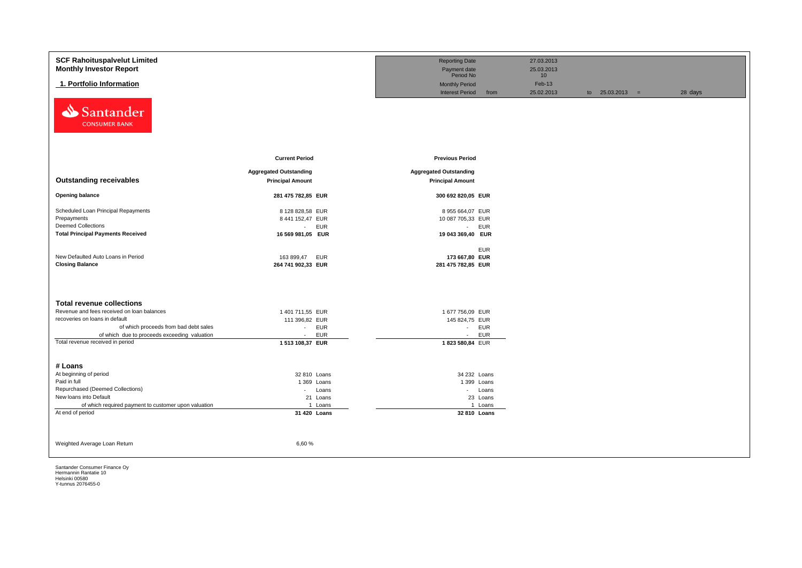| <b>SCF Rahoituspalvelut Limited</b><br><b>Monthly Investor Report</b> |                               | <b>Reporting Date</b><br>Payment date<br>Period No |            | 27.03.2013<br>25.03.2013 |                   |         |
|-----------------------------------------------------------------------|-------------------------------|----------------------------------------------------|------------|--------------------------|-------------------|---------|
| 1. Portfolio Information                                              |                               | <b>Monthly Period</b>                              |            | 10<br>Feb-13             |                   |         |
|                                                                       |                               | <b>Interest Period</b>                             | from       | 25.02.2013               | to $25.03.2013 =$ | 28 days |
| Santander<br>⇘<br><b>CONSUMER BANK</b>                                |                               |                                                    |            |                          |                   |         |
|                                                                       | <b>Current Period</b>         | <b>Previous Period</b>                             |            |                          |                   |         |
|                                                                       | <b>Aggregated Outstanding</b> | <b>Aggregated Outstanding</b>                      |            |                          |                   |         |
| <b>Outstanding receivables</b>                                        | <b>Principal Amount</b>       | <b>Principal Amount</b>                            |            |                          |                   |         |
| <b>Opening balance</b>                                                | 281 475 782,85 EUR            | 300 692 820,05 EUR                                 |            |                          |                   |         |
| Scheduled Loan Principal Repayments                                   | 8 128 828,58 EUR              | 8 955 664,07 EUR                                   |            |                          |                   |         |
| Prepayments                                                           | 8 441 152,47 EUR              | 10 087 705,33 EUR                                  |            |                          |                   |         |
| <b>Deemed Collections</b>                                             | <b>EUR</b><br>$\sim 10$       | - EUR                                              |            |                          |                   |         |
| <b>Total Principal Payments Received</b>                              | 16 569 981,05 EUR             | 19 043 369,40 EUR                                  |            |                          |                   |         |
|                                                                       |                               |                                                    |            |                          |                   |         |
| New Defaulted Auto Loans in Period                                    | 163 899,47<br><b>EUR</b>      | 173 667,80 EUR                                     | <b>EUR</b> |                          |                   |         |
| <b>Closing Balance</b>                                                | 264 741 902,33 EUR            | 281 475 782,85 EUR                                 |            |                          |                   |         |
|                                                                       |                               |                                                    |            |                          |                   |         |
|                                                                       |                               |                                                    |            |                          |                   |         |
| <b>Total revenue collections</b>                                      |                               |                                                    |            |                          |                   |         |
| Revenue and fees received on loan balances                            | 1 401 711,55 EUR              | 1 677 756,09 EUR                                   |            |                          |                   |         |
| recoveries on loans in default                                        | 111 396,82 EUR                | 145 824,75 EUR                                     |            |                          |                   |         |
| of which proceeds from bad debt sales                                 | <b>EUR</b><br>$\sim$          | - EUR                                              |            |                          |                   |         |
| of which due to proceeds exceeding valuation                          | <b>EUR</b><br>$\sim$          | $\sim$                                             | <b>EUR</b> |                          |                   |         |
| Total revenue received in period                                      | 1 513 108,37 EUR              | 1823 580,84 EUR                                    |            |                          |                   |         |
|                                                                       |                               |                                                    |            |                          |                   |         |
| # Loans                                                               |                               |                                                    |            |                          |                   |         |
| At beginning of period                                                | 32 810 Loans                  | 34 232 Loans                                       |            |                          |                   |         |
| Paid in full                                                          | 1 369 Loans                   | 1 399 Loans                                        |            |                          |                   |         |
| Repurchased (Deemed Collections)                                      | Loans<br>$\sim 100$           |                                                    | - Loans    |                          |                   |         |
| New loans into Default                                                | 21 Loans                      |                                                    | 23 Loans   |                          |                   |         |
| of which required payment to customer upon valuation                  | 1 Loans                       |                                                    | 1 Loans    |                          |                   |         |
| At end of period                                                      | 31 420 Loans                  | 32 810 Loans                                       |            |                          |                   |         |
|                                                                       |                               |                                                    |            |                          |                   |         |
|                                                                       |                               |                                                    |            |                          |                   |         |
| Weighted Average Loan Return                                          | 6,60%                         |                                                    |            |                          |                   |         |
|                                                                       |                               |                                                    |            |                          |                   |         |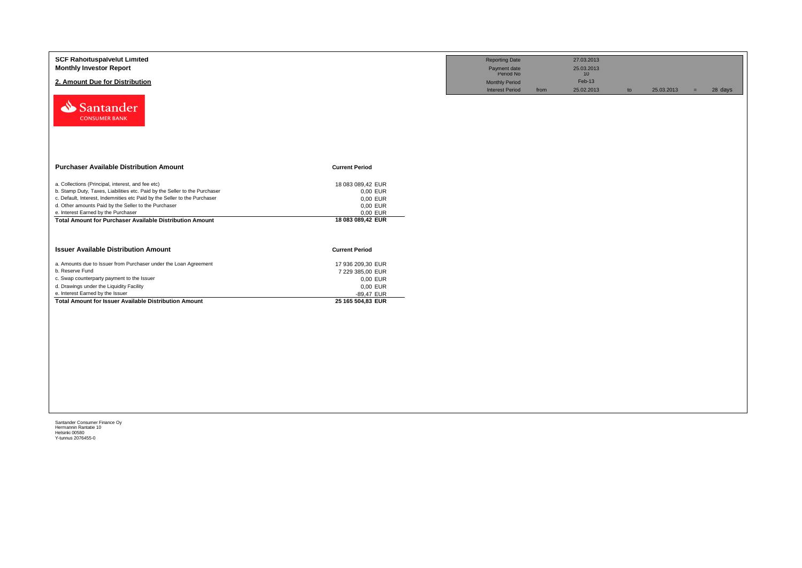| <b>SCF Rahoituspalvelut Limited</b><br><b>Monthly Investor Report</b><br>2. Amount Due for Distribution<br>Santander<br><b>CONSUMER BANK</b>                                                                                                                                                                                                                                   |                                                                                                  | <b>Reporting Date</b><br>Payment date<br>Period No<br><b>Monthly Period</b><br><b>Interest Period</b> | 27.03.2013<br>25.03.2013<br>10<br>Feb-13<br>25.02.2013<br>from | to | 25.03.2013 | 28 days<br>$=$ |  |
|--------------------------------------------------------------------------------------------------------------------------------------------------------------------------------------------------------------------------------------------------------------------------------------------------------------------------------------------------------------------------------|--------------------------------------------------------------------------------------------------|-------------------------------------------------------------------------------------------------------|----------------------------------------------------------------|----|------------|----------------|--|
| <b>Purchaser Available Distribution Amount</b>                                                                                                                                                                                                                                                                                                                                 | <b>Current Period</b>                                                                            |                                                                                                       |                                                                |    |            |                |  |
| a. Collections (Principal, interest, and fee etc)<br>b. Stamp Duty, Taxes, Liabilities etc. Paid by the Seller to the Purchaser<br>c. Default, Interest, Indemnities etc Paid by the Seller to the Purchaser<br>d. Other amounts Paid by the Seller to the Purchaser<br>e. Interest Earned by the Purchaser<br><b>Total Amount for Purchaser Available Distribution Amount</b> | 18 083 089,42 EUR<br>0,00 EUR<br>0,00 EUR<br>0,00 EUR<br>0,00 EUR<br>18 083 089,42 EUR           |                                                                                                       |                                                                |    |            |                |  |
| <b>Issuer Available Distribution Amount</b>                                                                                                                                                                                                                                                                                                                                    | <b>Current Period</b>                                                                            |                                                                                                       |                                                                |    |            |                |  |
| a. Amounts due to Issuer from Purchaser under the Loan Agreement<br>b. Reserve Fund<br>c. Swap counterparty payment to the Issuer<br>d. Drawings under the Liquidity Facility<br>e. Interest Earned by the Issuer<br><b>Total Amount for Issuer Available Distribution Amount</b>                                                                                              | 17 936 209,30 EUR<br>7 229 385,00 EUR<br>0,00 EUR<br>0,00 EUR<br>-89,47 EUR<br>25 165 504,83 EUR |                                                                                                       |                                                                |    |            |                |  |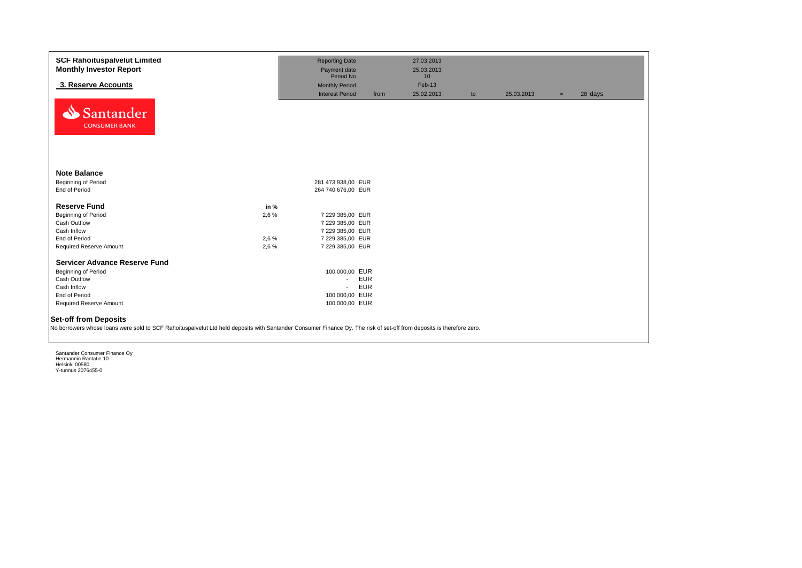| <b>SCF Rahoituspalvelut Limited</b><br><b>Monthly Investor Report</b>                                                                                                                                 |       | <b>Reporting Date</b><br>Payment date<br>Period No |            | 27.03.2013<br>25.03.2013<br>10 |    |            |     |         |
|-------------------------------------------------------------------------------------------------------------------------------------------------------------------------------------------------------|-------|----------------------------------------------------|------------|--------------------------------|----|------------|-----|---------|
| 3. Reserve Accounts                                                                                                                                                                                   |       | <b>Monthly Period</b>                              |            | Feb-13                         |    |            |     |         |
|                                                                                                                                                                                                       |       | <b>Interest Period</b>                             | from       | 25.02.2013                     | to | 25.03.2013 | $=$ | 28 days |
| Santander<br><b>CONSUMER BANK</b>                                                                                                                                                                     |       |                                                    |            |                                |    |            |     |         |
| <b>Note Balance</b>                                                                                                                                                                                   |       |                                                    |            |                                |    |            |     |         |
| <b>Beginning of Period</b>                                                                                                                                                                            |       | 281 473 938,00 EUR                                 |            |                                |    |            |     |         |
| End of Period                                                                                                                                                                                         |       | 264 740 676,00 EUR                                 |            |                                |    |            |     |         |
| <b>Reserve Fund</b>                                                                                                                                                                                   | in %  |                                                    |            |                                |    |            |     |         |
| Beginning of Period                                                                                                                                                                                   | 2,6 % | 7 229 385,00 EUR                                   |            |                                |    |            |     |         |
| Cash Outflow                                                                                                                                                                                          |       | 7 229 385,00 EUR                                   |            |                                |    |            |     |         |
| Cash Inflow                                                                                                                                                                                           |       | 7 229 385,00 EUR                                   |            |                                |    |            |     |         |
| End of Period                                                                                                                                                                                         | 2,6 % | 7 229 385,00 EUR                                   |            |                                |    |            |     |         |
| Required Reserve Amount                                                                                                                                                                               | 2,6 % | 7 229 385,00 EUR                                   |            |                                |    |            |     |         |
|                                                                                                                                                                                                       |       |                                                    |            |                                |    |            |     |         |
| <b>Servicer Advance Reserve Fund</b>                                                                                                                                                                  |       |                                                    |            |                                |    |            |     |         |
| Beginning of Period                                                                                                                                                                                   |       | 100 000,00 EUR                                     |            |                                |    |            |     |         |
| Cash Outflow                                                                                                                                                                                          |       | $\sim$                                             | <b>EUR</b> |                                |    |            |     |         |
| Cash Inflow                                                                                                                                                                                           |       | $\mathbf{r}$                                       | <b>EUR</b> |                                |    |            |     |         |
| End of Period                                                                                                                                                                                         |       | 100 000,00 EUR                                     |            |                                |    |            |     |         |
| <b>Required Reserve Amount</b>                                                                                                                                                                        |       | 100 000,00 EUR                                     |            |                                |    |            |     |         |
| <b>Set-off from Deposits</b><br>No borrowers whose loans were sold to SCF Rahoituspalvelut Ltd held deposits with Santander Consumer Finance Oy. The risk of set-off from deposits is therefore zero. |       |                                                    |            |                                |    |            |     |         |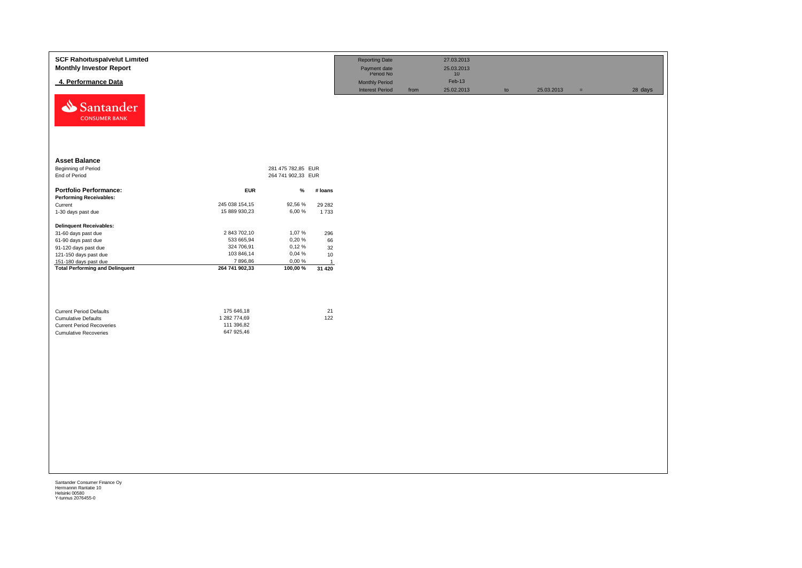| <b>SCF Rahoituspalvelut Limited</b><br><b>Monthly Investor Report</b> |                          |                    |                | <b>Reporting Date</b><br>Payment date<br>Period No |      | 27.03.2013<br>25.03.2013<br>10 |               |            |     |         |
|-----------------------------------------------------------------------|--------------------------|--------------------|----------------|----------------------------------------------------|------|--------------------------------|---------------|------------|-----|---------|
| 4. Performance Data                                                   |                          |                    |                | <b>Monthly Period</b><br><b>Interest Period</b>    | from | Feb-13<br>25.02.2013           | $\mathsf{to}$ | 25.03.2013 | $=$ | 28 days |
| Santander<br><b>CONSUMER BANK</b>                                     |                          |                    |                |                                                    |      |                                |               |            |     |         |
| <b>Asset Balance</b>                                                  |                          |                    |                |                                                    |      |                                |               |            |     |         |
| Beginning of Period                                                   |                          | 281 475 782,85 EUR |                |                                                    |      |                                |               |            |     |         |
| End of Period                                                         |                          | 264 741 902,33 EUR |                |                                                    |      |                                |               |            |     |         |
| <b>Portfolio Performance:</b><br><b>Performing Receivables:</b>       | <b>EUR</b>               | $\%$               | # loans        |                                                    |      |                                |               |            |     |         |
| Current                                                               | 245 038 154,15           | 92,56 %            | 29 28 2        |                                                    |      |                                |               |            |     |         |
| 1-30 days past due                                                    | 15 889 930,23            | 6,00%              | 1733           |                                                    |      |                                |               |            |     |         |
| <b>Delinquent Receivables:</b>                                        |                          |                    |                |                                                    |      |                                |               |            |     |         |
| 31-60 days past due                                                   | 2 843 702,10             | 1,07%              | 296            |                                                    |      |                                |               |            |     |         |
| 61-90 days past due                                                   | 533 665,94<br>324 706,91 | 0,20%<br>0,12%     | 66             |                                                    |      |                                |               |            |     |         |
| 91-120 days past due<br>121-150 days past due                         | 103 846,14               | 0,04 %             | 32<br>10       |                                                    |      |                                |               |            |     |         |
| 151-180 days past due                                                 | 7896,86                  | 0,00 %             | $\overline{1}$ |                                                    |      |                                |               |            |     |         |
| <b>Total Performing and Delinquent</b>                                | 264 741 902,33           | 100,00 %           | 31 4 20        |                                                    |      |                                |               |            |     |         |
|                                                                       | 175 646,18               |                    | 21             |                                                    |      |                                |               |            |     |         |
| <b>Current Period Defaults</b><br><b>Cumulative Defaults</b>          | 1 282 774,69             |                    | 122            |                                                    |      |                                |               |            |     |         |
| <b>Current Period Recoveries</b>                                      | 111 396,82               |                    |                |                                                    |      |                                |               |            |     |         |
| <b>Cumulative Recoveries</b>                                          | 647 925,46               |                    |                |                                                    |      |                                |               |            |     |         |
|                                                                       |                          |                    |                |                                                    |      |                                |               |            |     |         |
|                                                                       |                          |                    |                |                                                    |      |                                |               |            |     |         |
|                                                                       |                          |                    |                |                                                    |      |                                |               |            |     |         |
|                                                                       |                          |                    |                |                                                    |      |                                |               |            |     |         |
|                                                                       |                          |                    |                |                                                    |      |                                |               |            |     |         |
|                                                                       |                          |                    |                |                                                    |      |                                |               |            |     |         |
|                                                                       |                          |                    |                |                                                    |      |                                |               |            |     |         |
|                                                                       |                          |                    |                |                                                    |      |                                |               |            |     |         |
|                                                                       |                          |                    |                |                                                    |      |                                |               |            |     |         |
|                                                                       |                          |                    |                |                                                    |      |                                |               |            |     |         |
|                                                                       |                          |                    |                |                                                    |      |                                |               |            |     |         |
|                                                                       |                          |                    |                |                                                    |      |                                |               |            |     |         |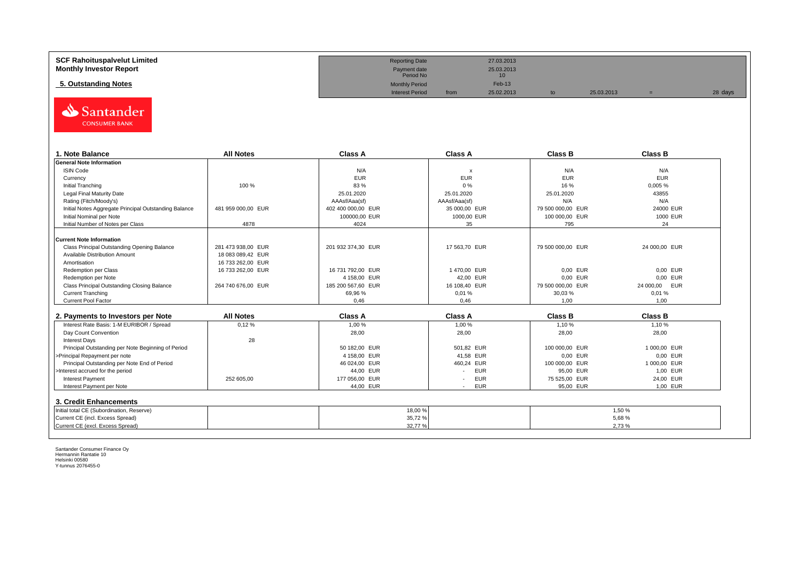| <b>SCF Rahoituspalvelut Limited</b> | <b>Reporting Date</b>     |      | 27.03.2013                    |            |         |
|-------------------------------------|---------------------------|------|-------------------------------|------------|---------|
| <b>Monthly Investor Report</b>      | Payment date<br>Period No |      | 25.03.2013<br>10 <sup>1</sup> |            |         |
| 5. Outstanding Notes                | <b>Monthly Period</b>     |      | $Feb-13$                      |            |         |
|                                     | <b>Interest Period</b>    | from | 25.02.2013                    | 25.03.2013 | 28 days |



| 1. Note Balance                                       | <b>All Notes</b>   | <b>Class A</b>     | <b>Class A</b>            | <b>Class B</b>    | <b>Class B</b> |
|-------------------------------------------------------|--------------------|--------------------|---------------------------|-------------------|----------------|
| <b>General Note Information</b>                       |                    |                    |                           |                   |                |
| <b>ISIN Code</b>                                      |                    | N/A                | $\boldsymbol{\mathsf{x}}$ | N/A               | N/A            |
| Currency                                              |                    | <b>EUR</b>         | <b>EUR</b>                | <b>EUR</b>        | <b>EUR</b>     |
| Initial Tranching                                     | 100 %              | 83 %               | 0%                        | 16 %              | 0,005 %        |
| Legal Final Maturity Date                             |                    | 25.01.2020         | 25.01.2020                | 25.01.2020        | 43855          |
| Rating (Fitch/Moody's)                                |                    | AAAsf/Aaa(sf)      | AAAsf/Aaa(sf)             | N/A               | N/A            |
| Initial Notes Aggregate Principal Outstanding Balance | 481 959 000.00 EUR | 402 400 000.00 EUR | 35 000.00 EUR             | 79 500 000,00 EUR | 24000 EUR      |
| Initial Nominal per Note                              |                    | 100000.00 EUR      | 1000,00 EUR               | 100 000,00 EUR    | 1000 EUR       |
| Initial Number of Notes per Class                     | 4878               | 4024               | 35                        | 795               | 24             |
|                                                       |                    |                    |                           |                   |                |
| Current Note Information                              |                    |                    |                           |                   |                |
| Class Principal Outstanding Opening Balance           | 281 473 938.00 EUR | 201 932 374,30 EUR | 17 563,70 EUR             | 79 500 000,00 EUR | 24 000,00 EUR  |
| Available Distribution Amount                         | 18 083 089.42 EUR  |                    |                           |                   |                |
| Amortisation                                          | 16 733 262,00 EUR  |                    |                           |                   |                |
| Redemption per Class                                  | 16 733 262,00 EUR  | 16 731 792,00 EUR  | 1470,00 EUR               | 0,00 EUR          | 0,00 EUR       |
| Redemption per Note                                   |                    | 4 158,00 EUR       | 42,00 EUR                 | 0.00 EUR          | 0.00 EUR       |
| Class Principal Outstanding Closing Balance           | 264 740 676,00 EUR | 185 200 567,60 EUR | 16 108,40 EUR             | 79 500 000,00 EUR | 24 000,00 EUR  |
| <b>Current Tranching</b>                              |                    | 69,96 %            | 0,01%                     | 30,03%            | 0.01%          |
| <b>Current Pool Factor</b>                            |                    | 0.46               | 0.46                      | 1.00              | 1.00           |

| 2. Payments to Investors per Note                  | <b>All Notes</b> | <b>Class A</b> | <b>Class A</b>                         | <b>Class B</b> | <b>Class B</b> |
|----------------------------------------------------|------------------|----------------|----------------------------------------|----------------|----------------|
| Interest Rate Basis: 1-M EURIBOR / Spread          | 0,12%            | 1.00 %         | 1.00 %                                 | 1.10%          | 1.10 %         |
| Day Count Convention                               |                  | 28,00          | 28,00                                  | 28,00          | 28,00          |
| <b>Interest Days</b>                               | 28               |                |                                        |                |                |
| Principal Outstanding per Note Beginning of Period |                  | 50 182.00 EUR  | 501.82 EUR                             | 100 000,00 EUR | 1 000.00 EUR   |
| >Principal Repayment per note                      |                  | 4 158,00 EUR   | 41.58 EUR                              | 0,00 EUR       | 0.00 EUR       |
| Principal Outstanding per Note End of Period       |                  | 46 024.00 EUR  | 460.24 EUR                             | 100 000,00 EUR | 1 000.00 EUR   |
| >Interest accrued for the period                   |                  | 44.00 EUR      | <b>EUR</b>                             | 95.00 EUR      | 1.00 EUR       |
| <b>Interest Payment</b>                            | 252 605.00       | 177 056,00 EUR | <b>EUR</b><br>$\overline{\phantom{a}}$ | 75 525.00 EUR  | 24.00 EUR      |
| Interest Payment per Note                          |                  | 44,00 EUR      | <b>EUR</b>                             | 95,00 EUR      | 1,00 EUR       |
| 3. Credit Enhancements                             |                  |                |                                        |                |                |
| Initial total CE (Subordination, Reserve)          |                  | 18,00 %        |                                        |                | 1.50 %         |
| Current CE (incl. Excess Spread)                   |                  | 35,72 %        |                                        |                | 5,68%          |
| Current CE (excl. Excess Spread)                   |                  | 32,77%         |                                        |                | 2.73%          |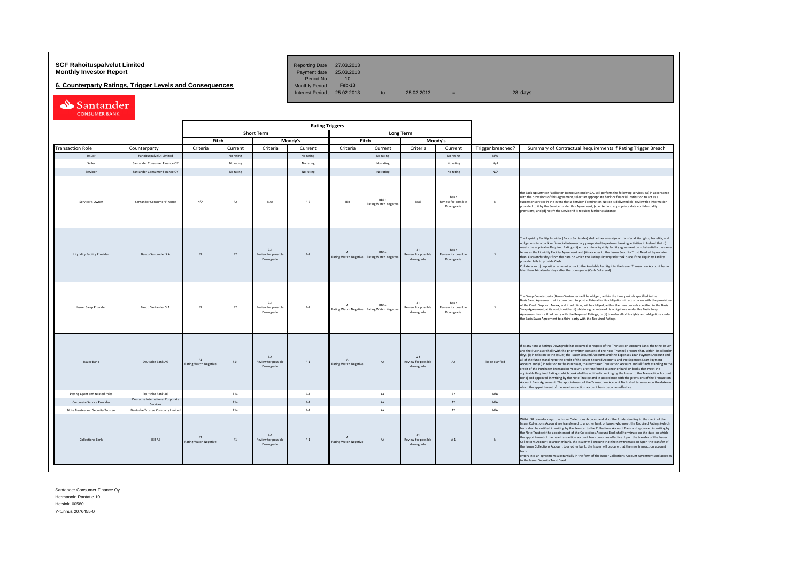# **SCF Rahoituspalvelut Limited Reporting Date 27.03.2013**<br> **Monthly Investor Report** Payment date 25.03.2013

**6. Counterparty Ratings, Trigger Levels and Consequences** 

Period No 10<br>Monthly Period Feb-13 Interest Period:  $25.02.2013$  to  $25.03.2013$  =  $28 \text{ days}$ 

| Santander            |
|----------------------|
| <b>CONSUMER BANK</b> |

|                                    |                                              |                                    |                |                                           | <b>Rating Triggers</b> |                                           |                                      |                                                   |                                          |                   |                                                                                                                                                                                                                                                                                                                                                                                                                                                                                                                                                                                                                                                                                                                                                                                                                                                                                                                                                                                                                                                                                                      |
|------------------------------------|----------------------------------------------|------------------------------------|----------------|-------------------------------------------|------------------------|-------------------------------------------|--------------------------------------|---------------------------------------------------|------------------------------------------|-------------------|------------------------------------------------------------------------------------------------------------------------------------------------------------------------------------------------------------------------------------------------------------------------------------------------------------------------------------------------------------------------------------------------------------------------------------------------------------------------------------------------------------------------------------------------------------------------------------------------------------------------------------------------------------------------------------------------------------------------------------------------------------------------------------------------------------------------------------------------------------------------------------------------------------------------------------------------------------------------------------------------------------------------------------------------------------------------------------------------------|
|                                    |                                              |                                    |                | <b>Short Term</b>                         |                        |                                           |                                      | <b>Long Term</b>                                  |                                          |                   |                                                                                                                                                                                                                                                                                                                                                                                                                                                                                                                                                                                                                                                                                                                                                                                                                                                                                                                                                                                                                                                                                                      |
|                                    |                                              |                                    | Fitch          |                                           | Moody's                |                                           | Fitch                                |                                                   | Moodv's                                  |                   |                                                                                                                                                                                                                                                                                                                                                                                                                                                                                                                                                                                                                                                                                                                                                                                                                                                                                                                                                                                                                                                                                                      |
| <b>Transaction Role</b>            | Counterparty                                 | Criteria                           | Current        | Criteria                                  | Current                | Criteria                                  | Current                              | Criteria                                          | Current                                  | Trigger breached? | Summary of Contractual Requirements if Rating Trigger Breach                                                                                                                                                                                                                                                                                                                                                                                                                                                                                                                                                                                                                                                                                                                                                                                                                                                                                                                                                                                                                                         |
| Issuer                             | Rahoituspalvelut Limited                     |                                    | No rating      |                                           | No rating              |                                           | No rating                            |                                                   | No rating                                | N/A               |                                                                                                                                                                                                                                                                                                                                                                                                                                                                                                                                                                                                                                                                                                                                                                                                                                                                                                                                                                                                                                                                                                      |
| Seller                             | Santander Consumer Finance OY                |                                    | No rating      |                                           | No rating              |                                           | No rating                            |                                                   | No rating                                | N/A               |                                                                                                                                                                                                                                                                                                                                                                                                                                                                                                                                                                                                                                                                                                                                                                                                                                                                                                                                                                                                                                                                                                      |
| Servicer                           | Santander Consumer Finance OY                |                                    | No rating      |                                           | No rating              |                                           | No rating                            |                                                   | No rating                                | N/A               |                                                                                                                                                                                                                                                                                                                                                                                                                                                                                                                                                                                                                                                                                                                                                                                                                                                                                                                                                                                                                                                                                                      |
| Servicer's Owner                   | Santander Consumer Finance                   | N/A                                | F <sub>2</sub> | N/A                                       | $P-2$                  | BBB                                       | RRR+<br><b>Rating Watch Negative</b> | Baa3                                              | Raa2<br>Review for possible<br>Downgrade | $\mathbf{N}$      | the Back-up Servicer Facilitator, Banco Santander S.A, will perform the following services: (a) in accordance<br>with the provisions of this Agreement, select an appropriate bank or financial institution to act as a<br>successor servicer in the event that a Servicer Termination Notice is delivered; (b) review the information<br>provided to it by the Servicer under this Agreement; (c) enter into appropriate data confidentiality<br>provisions; and (d) notify the Servicer if it requires further assistance                                                                                                                                                                                                                                                                                                                                                                                                                                                                                                                                                                          |
| <b>Liquidity Facility Provider</b> | <b>Banco Santander S.A.</b>                  | F <sub>2</sub>                     | F2             | $P-1$<br>Review for possible<br>Downgrade | $P-2$                  | $\overline{A}$<br>Rating Watch Negative   | RRR+<br><b>Rating Watch Negativ</b>  | A1<br>Review for possible<br>downgrade            | Baa2<br>Review for possible<br>Downgrade | Y                 | The Liquidity Facility Provider (Banco Santander) shall either a) assign or transfer all its rights, benefits, and<br>obligations to a bank or financial intermediary passported to perform banking activities in Ireland that (i)<br>meets the applicable Required Ratings (ii) enters into a liquidity facility agreement on substantially the same<br>terms as the Liquidity Facility Agreement and (iii) accedes to the Issuer Security Trust Deed all by no later<br>than 30 calendar days from the date on which the Ratings Downgrade took place if the Liquidity Facility<br>provider fails to provide Cash<br>Collateral or b) deposit an amount equal to the Available Facility into the Issuer Transaction Account by no<br>later than 14 calendar days after the downgrade (Cash Collateral)                                                                                                                                                                                                                                                                                             |
| <b>Issuer Swap Provider</b>        | Banco Santander S.A.                         | F <sub>2</sub>                     | F <sub>2</sub> | $P-1$<br>Review for possible<br>Downgrade | $P - 2$                | $\Lambda$<br>Rating Watch Negative        | RRR+<br><b>Rating Watch Negative</b> | $\mathbf{A}1$<br>Review for possible<br>downgrade | Baa2<br>Review for possible<br>Downgrade | Y                 | The Swap Counterparty (Banco Santander) will be obliged, within the time periods specified in the<br>Basis Swap Agreement, at its own cost, to post collateral for its obligations in accordance with the provisions<br>of the Credit Support Annex, and in addition, will be obliged, within the time periods specified in the Basis<br>Swap Agreement, at its cost, to either (i) obtain a guarantee of its obligations under the Basis Swap<br>Agreement from a third party with the Required Ratings; or (ii) transfer all of its rights and obligations under<br>the Basis Swap Agreement to a third party with the Required Ratings                                                                                                                                                                                                                                                                                                                                                                                                                                                            |
| <b>Issuer Bank</b>                 | Deutsche Bank AG                             | F1<br>Rating Watch Negative        | $F1+$          | $P-1$<br>Review for possible<br>Downgrade | $P-1$                  | $\mathsf{A}$<br>Rating Watch Negative     | $\Lambda +$                          | A1<br>Review for possible<br>downgrade            | A2                                       | To be clarified   | If at any time a Ratings Downgrade has occurred in respect of the Transaction Account Bank, then the Issuer<br>and the Purchaser shall (with the prior written consent of the Note Trustee) procure that, within 30 calendar<br>days, (i) in relation to the Issuer, the Issuer Secured Accounts and the Expenses Loan Payment Account and<br>all of the funds standing to the credit of the Issuer Secured Accounts and the Expenses Loan Payment<br>Account and (ii) in relation to the Purchaser, the Purchaser Transaction Account and all funds standing to the<br>credit of the Purchaser Transaction Account, are transferred to another bank or banks that meet the<br>applicable Required Ratings (which bank shall be notified in writing by the Issuer to the Transaction Account<br>Bank) and approved in writing by the Note Trustee and in accordance with the provisions of the Transaction<br>Account Bank Agreement. The appointment of the Transaction Account Bank shall terminate on the date on<br>which the appointment of the new transaction account bank becomes effective. |
| Paying Agent and related roles     | Deutsche Bank AG                             |                                    | $F1+$          |                                           | $P-1$                  |                                           | $\Lambda +$                          |                                                   | A2                                       | N/A               |                                                                                                                                                                                                                                                                                                                                                                                                                                                                                                                                                                                                                                                                                                                                                                                                                                                                                                                                                                                                                                                                                                      |
| Corporate Service Provider         | Deutsche International Corporate<br>Services |                                    | $F1+$          |                                           | $P-1$                  |                                           | $\Lambda$                            |                                                   | A2                                       | N/A               |                                                                                                                                                                                                                                                                                                                                                                                                                                                                                                                                                                                                                                                                                                                                                                                                                                                                                                                                                                                                                                                                                                      |
| Note Trustee and Security Trustee  | Deutsche Trustee Company Limited             |                                    | $F1+$          |                                           | $P-1$                  |                                           | $A+$                                 |                                                   | A2                                       | N/A               |                                                                                                                                                                                                                                                                                                                                                                                                                                                                                                                                                                                                                                                                                                                                                                                                                                                                                                                                                                                                                                                                                                      |
| <b>Collections Bank</b>            | SEB AB                                       | F1<br><b>Rating Watch Negative</b> | F1             | $P-1$<br>Review for possible<br>Downgrade | $P-1$                  | $\Lambda$<br><b>Rating Watch Negative</b> | At                                   | A1<br>Review for possible<br>downgrade            | A1                                       | N                 | Within 30 calendar days, the Issuer Collections Account and all of the funds standing to the credit of the<br>Issuer Collections Account are transferred to another bank or banks who meet the Required Ratings (which<br>bank shall be notified in writing by the Servicer to the Collections Account Bank and approved in writing by<br>the Note Trustee): the appointment of the Collections Account Bank shall terminate on the date on which<br>the appointment of the new transaction account bank becomes effective. Upon the transfer of the Issuer<br>Collections Account to another bank, the Issuer will procure that the new transaction Upon the transfer of<br>the Issuer Collections Acoount to another bank, the Issuer will procure that the new transaction account<br>bank<br>enters into an agreement substantially in the form of the Issuer Collections Account Agreement and accedes<br>to the Issuer Security Trust Deed.                                                                                                                                                    |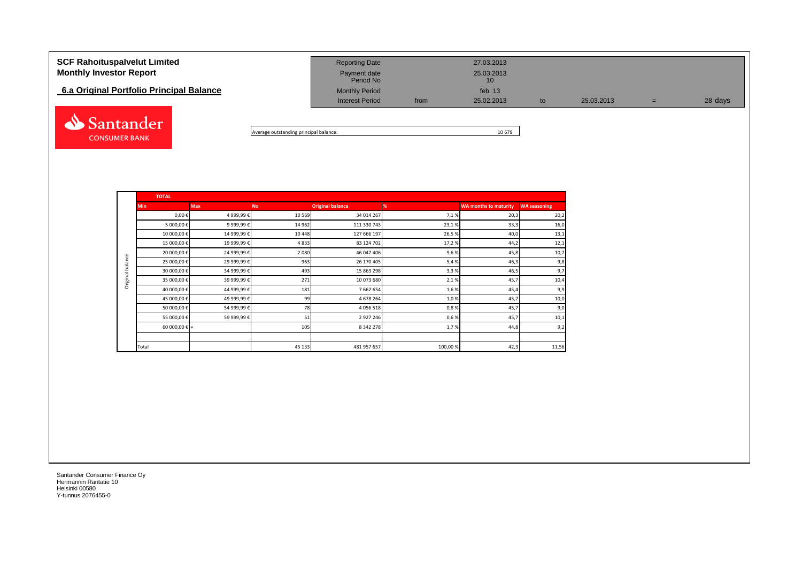| <b>SCF Rahoituspalvelut Limited</b><br><b>Monthly Investor Report</b> | <b>Reporting Date</b><br>Payment date<br>Period No |      | 27.03.2013<br>25.03.2013<br>10 |    |            |     |         |
|-----------------------------------------------------------------------|----------------------------------------------------|------|--------------------------------|----|------------|-----|---------|
| 6.a Original Portfolio Principal Balance                              | <b>Monthly Period</b><br><b>Interest Period</b>    | from | feb. $13$<br>25.02.2013        | to | 25.03.2013 | $=$ | 28 days |
| Santander                                                             |                                                    |      |                                |    |            |     |         |

Average outstanding principal balance: 10 679

|                  | <b>TOTAL</b>           |             |           |                         |         |                              |                     |
|------------------|------------------------|-------------|-----------|-------------------------|---------|------------------------------|---------------------|
|                  | <b>Min</b>             | <b>Max</b>  | <b>No</b> | <b>Original balance</b> | %       | <b>WA months to maturity</b> | <b>WA seasoning</b> |
|                  | $0,00 \in$             | 4 999,99€   | 10 5 69   | 34 014 267              | 7,1%    | 20,3                         | 20,2                |
|                  | 5 000,00 €             | 9 999,99€   | 14 9 62   | 111 330 743             | 23,1%   | 33,3                         | 16,0                |
|                  | 10 000,00€             | 14 999,99 € | 10 4 48   | 127 666 197             | 26,5%   | 40,0                         | 13,1                |
|                  | 15 000,00 €            | 19 999,99€  | 4833      | 83 124 702              | 17,2%   | 44,2                         | 12,1                |
|                  | 20 000,00 €            | 24 999,99€  | 2 0 8 0   | 46 047 406              | 9,6%    | 45,8                         | 10,7                |
| Original balance | 25 000,00 €            | 29 999,99 € | 963       | 26 170 405              | 5,4%    | 46,3                         | 9,8                 |
|                  | 30 000,00 €            | 34 999,99€  | 493       | 15 863 298              | 3,3%    | 46,5                         | 9,7                 |
|                  | 35 000,00 €            | 39 999,99 € | 271       | 10 073 680              | 2,1%    | 45,7                         | 10,4                |
|                  | 40 000,00 €            | 44 999,99 € | 181       | 7 662 654               | 1,6%    | 45,4                         | 9,9                 |
|                  | 45 000,00€             | 49 999,99 € | 99        | 4 678 264               | 1,0%    | 45,7                         | 10,0                |
|                  | 50 000,00 €            | 54 999,99€  | 78        | 4 0 5 6 5 1 8           | 0,8%    | 45,7                         | 9,0                 |
|                  | 55 000,00 €            | 59 999,99 € | 51        | 2927246                 | 0,6%    | 45,7                         | 10,1                |
|                  | 60 000,00 $\epsilon$ + |             | 105       | 8 3 4 2 2 7 8           | 1,7%    | 44,8                         | 9,2                 |
|                  |                        |             |           |                         |         |                              |                     |
|                  | Total                  |             | 45 133    | 481 957 657             | 100,00% | 42,3                         | 11,56               |

Santander Consumer Finance Oy Hermannin Rantatie 10 Helsinki 00580 Y-tunnus 2076455-0

**CONSUMER BANK**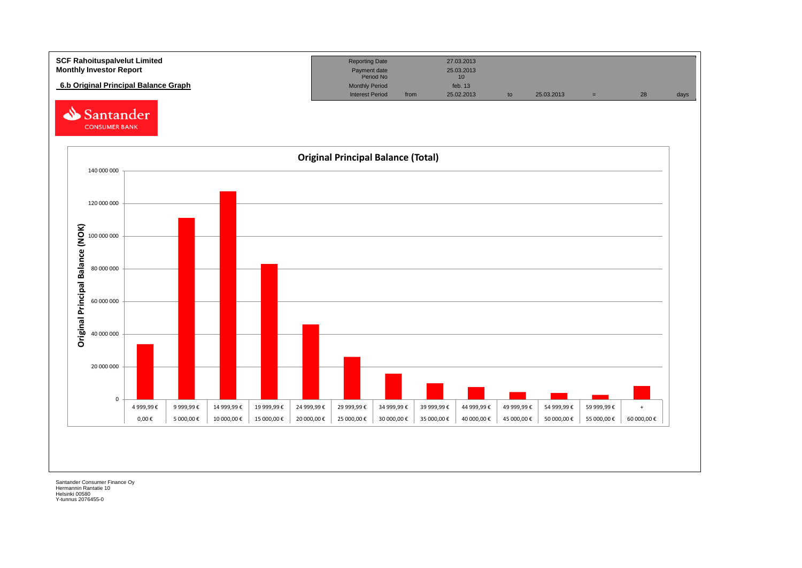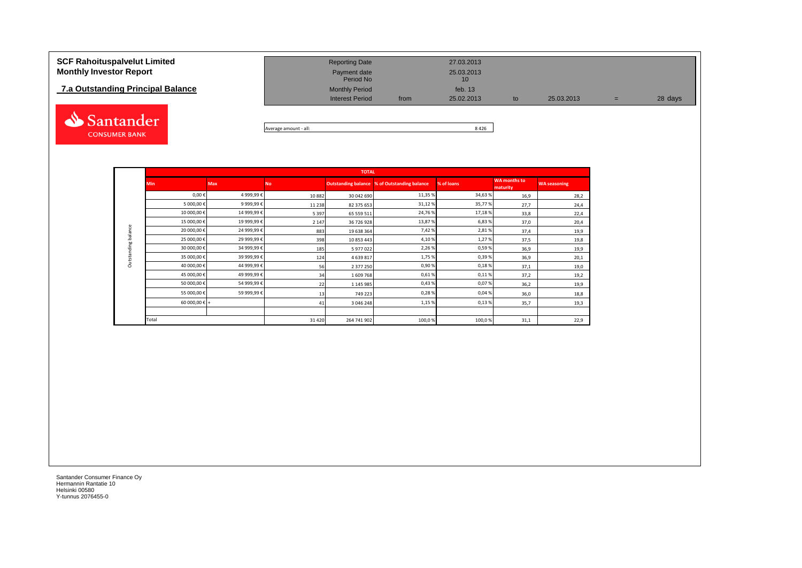## **7.a Outstanding Principal Balance**



| <b>SCF Rahoituspalvelut Limited</b> | <b>Reporting Date</b>     |      | 27.03.2013       |            |     |         |
|-------------------------------------|---------------------------|------|------------------|------------|-----|---------|
| <b>Monthly Investor Report</b>      | Payment date<br>Period No |      | 25.03.2013<br>10 |            |     |         |
| 7.a Outstanding Principal Balance   | <b>Monthly Period</b>     |      | feb. $13$        |            |     |         |
|                                     | <b>Interest Period</b>    | from | 25.02.2013       | 25.03.2013 | $=$ | 28 days |
|                                     |                           |      |                  |            |     |         |

Average amount - all: 8 426

|                     | <b>TOTAL</b>  |            |         |             |                                                     |            |                                 |                     |  |  |  |  |
|---------------------|---------------|------------|---------|-------------|-----------------------------------------------------|------------|---------------------------------|---------------------|--|--|--|--|
|                     | <b>Min</b>    | <b>Max</b> | Νo      |             | <b>Outstanding balance % of Outstanding balance</b> | % of loans | <b>WA</b> months to<br>maturity | <b>WA seasoning</b> |  |  |  |  |
|                     | $0,00 \in$    | 4 999,99€  | 10882   | 30 042 690  | 11,35 %                                             | 34,63%     | 16,9                            | 28,2                |  |  |  |  |
|                     | 5 000,00€     | 9 999,99€  | 11 2 38 | 82 375 653  | 31,12%                                              | 35,77%     | 27,7                            | 24,4                |  |  |  |  |
|                     | 10 000,00€    | 14 999,99€ | 5 3 9 7 | 65 559 511  | 24,76%                                              | 17,18%     | 33,8                            | 22,4                |  |  |  |  |
|                     | 15 000,00€    | 19 999,99€ | 2 1 4 7 | 36 726 928  | 13,87%                                              | 6,83%      | 37,0                            | 20,4                |  |  |  |  |
| Outstanding balance | 20 000,00€    | 24 999,99€ | 883     | 19 638 364  | 7,42%                                               | 2,81%      | 37,4                            | 19,9                |  |  |  |  |
|                     | 25 000,00€    | 29 999,99€ | 398     | 10 853 443  | 4,10%                                               | 1,27%      | 37,5                            | 19,8                |  |  |  |  |
|                     | 30 000,00€    | 34 999,99€ | 185     | 5 977 022   | 2,26%                                               | 0,59%      | 36,9                            | 19,9                |  |  |  |  |
|                     | 35 000,00€    | 39 999,99€ | 124     | 4 639 817   | 1,75%                                               | 0,39%      | 36,9                            | 20,1                |  |  |  |  |
|                     | 40 000,00€    | 44 999,99€ | 56      | 2 377 250   | 0,90%                                               | 0,18%      | 37,1                            | 19,0                |  |  |  |  |
|                     | 45 000,00€    | 49 999,99€ | 34      | 1609768     | 0,61%                                               | 0,11%      | 37,2                            | 19,2                |  |  |  |  |
|                     | 50 000,00€    | 54 999,99€ | 22      | 1 145 985   | 0,43%                                               | 0,07%      | 36,2                            | 19,9                |  |  |  |  |
|                     | 55 000,00€    | 59 999,99€ | 13      | 749 223     | 0,28%                                               | 0,04%      | 36,0                            | 18,8                |  |  |  |  |
|                     | 60 000,00 € + |            | 41      | 3 046 248   | 1,15 %                                              | 0,13%      | 35,7                            | 19,3                |  |  |  |  |
|                     |               |            |         |             |                                                     |            |                                 |                     |  |  |  |  |
|                     | Total         |            | 31 4 20 | 264 741 902 | 100,0%                                              | 100,0%     | 31,1                            | 22,9                |  |  |  |  |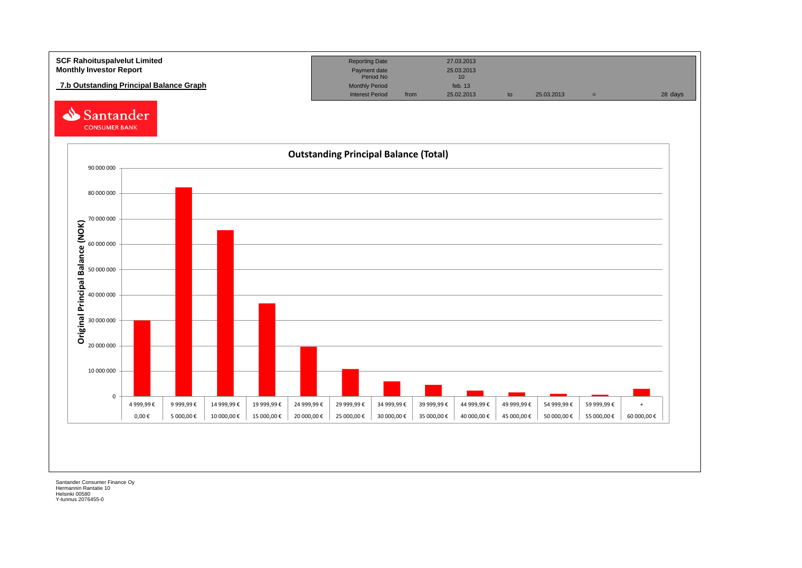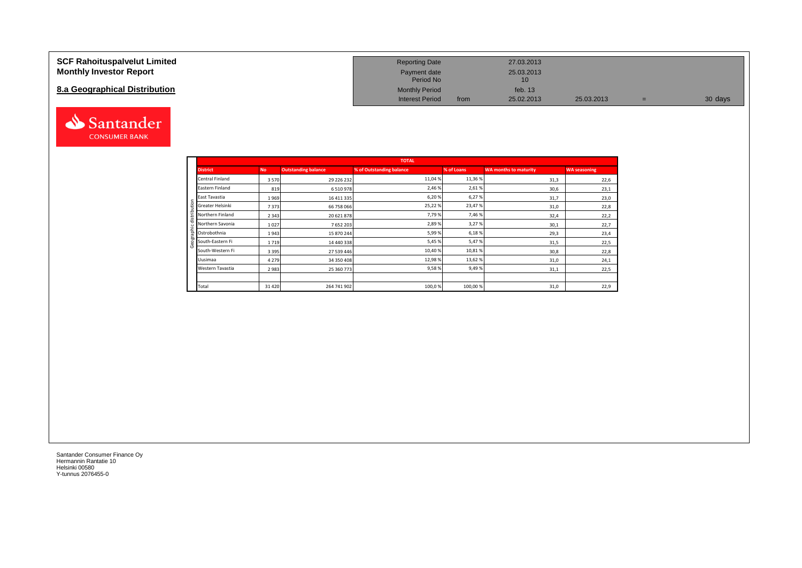### **SCF Rahoituspalvelut Limited Monthly Investor Report**

## **8.a Geographical Distribution**



| <b>Reporting Date</b>     |      | 27.03.2013       |            |   |         |
|---------------------------|------|------------------|------------|---|---------|
| Payment date<br>Period No |      | 25.03.2013<br>10 |            |   |         |
| <b>Monthly Period</b>     |      | feb. $13$        |            |   |         |
| <b>Interest Period</b>    | from | 25.02.2013       | 25.03.2013 | = | 30 days |

|                           |           |                            | <b>TOTAL</b>             |            |                              |                     |
|---------------------------|-----------|----------------------------|--------------------------|------------|------------------------------|---------------------|
| <b>District</b>           | <b>No</b> | <b>Outstanding balance</b> | % of Outstanding balance | % of Loans | <b>WA months to maturity</b> | <b>WA seasoning</b> |
| Central Finland           | 3570      | 29 226 232                 | 11,04 %                  | 11,36 %    | 31,3                         | 22,6                |
| Eastern Finland           | 819       | 6 5 10 9 78                | 2,46 %                   | 2,61%      | 30,6                         | 23,1                |
| East Tavastia             | 1969      | 16 411 335                 | 6,20%                    | 6,27%      | 31,7                         | 23,0                |
| Greater Helsinki<br>Ë     | 7373      | 66 758 066                 | 25,22%                   | 23,47%     | 31,0                         | 22,8                |
| Northern Finland<br>dist. | 2 3 4 3   | 20 621 878                 | 7,79%                    | 7,46%      | 32,4                         | 22,2                |
| Northern Savonia          | 1027      | 7652203                    | 2,89%                    | 3,27%      | 30,1                         | 22,7                |
| 굠<br>Ostrobothnia         | 1943      | 15 870 244                 | 5,99%                    | 6,18%      | 29,3                         | 23,4                |
| South-Eastern Fi          | 1719      | 14 440 338                 | 5,45 %                   | 5,47%      | 31,5                         | 22,5                |
| South-Western Fi          | 3 3 9 5   | 27 539 446                 | 10,40 %                  | 10,81%     | 30,8                         | 22,8                |
| Uusimaa                   | 4 2 7 9   | 34 350 408                 | 12,98 %                  | 13,62%     | 31,0                         | 24,1                |
| Western Tavastia          | 2983      | 25 360 773                 | 9,58%                    | 9,49%      | 31,1                         | 22,5                |
|                           |           |                            |                          |            |                              |                     |
| Total                     | 31 4 20   | 264 741 902                | 100,0%                   | 100,00%    | 31,0                         | 22,9                |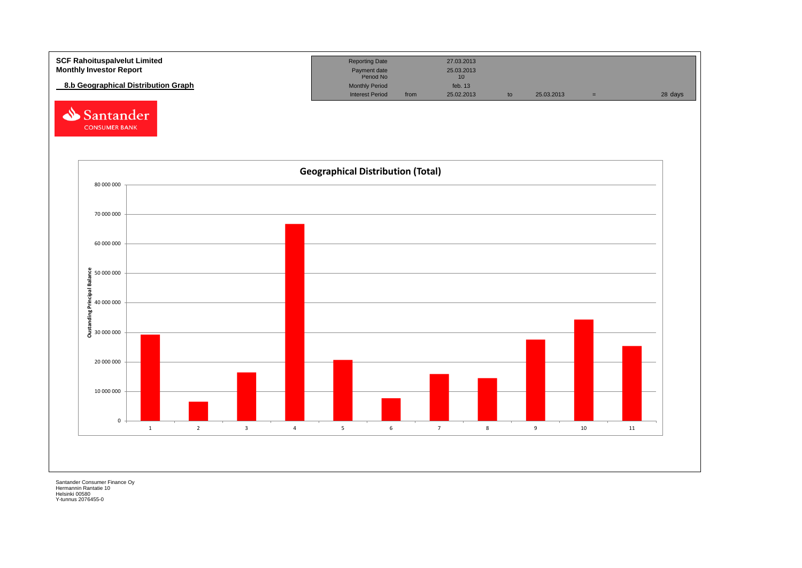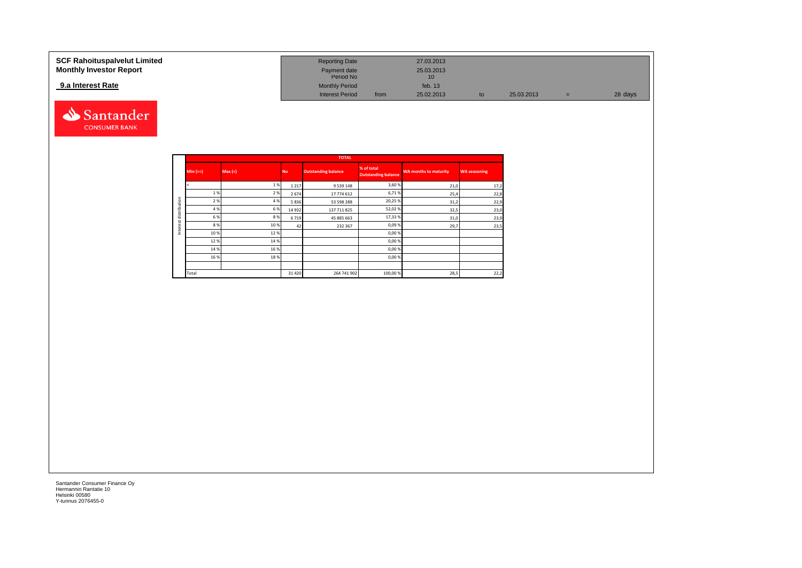#### **SCF Rahoituspalvelut Limited Reporting Date 27.03.2013 Reporting Date 27.03.2013 Monthly Investor Report Payment date** 25.03.2013 Payment date<br>
Period No 10<br>
10 **9.a Interest Rate 13 Monthly Period 13 Monthly Period 13 Monthly Period 14 Monthly Period 13 Interest Period 15.02.2013** Interest Period from 25.02.2013 to 25.03.2013 = 28 days



|              |           |         |           | <b>TOTAL</b>               |                                          |                              |                     |
|--------------|-----------|---------|-----------|----------------------------|------------------------------------------|------------------------------|---------------------|
|              | $Min(>=)$ | Max (<) | <b>No</b> | <b>Outstanding balance</b> | % of total<br><b>Outstanding balance</b> | <b>WA months to maturity</b> | <b>WA seasoning</b> |
|              |           | 1%      | 1 2 1 7   | 9 5 3 9 1 4 8              | 3,60 %                                   | 21,0                         | 17,2                |
|              | 1%        | 2%      | 2674      | 17 774 612                 | 6,71%                                    | 25,4                         | 22,8                |
| distribution | 2 %       | 4 %     | 5836      | 53 598 288                 | 20,25 %                                  | 31,2                         | 22,9                |
|              | 4 %       | 6%      | 14 9 32   | 137 711 825                | 52,02%                                   | 32,5                         | 23,0                |
|              | 6 %       | 8%      | 6719      | 45 885 663                 | 17,33 %                                  | 31,0                         | 23,9                |
| ă            | 8%        | 10%     | 42        | 232 367                    | 0,09%                                    | 29,7                         | 23,5                |
| Inter        | 10%       | 12%     |           |                            | 0,00%                                    |                              |                     |
|              | 12%       | 14 %    |           |                            | 0,00%                                    |                              |                     |
|              | 14 %      | 16 %    |           |                            | 0,00%                                    |                              |                     |
|              | 16%       | 18%     |           |                            | 0,00%                                    |                              |                     |
|              |           |         |           |                            |                                          |                              |                     |
|              | Total     |         | 31 4 20   | 264 741 902                | 100,00 %                                 | 28,5                         | 22,2                |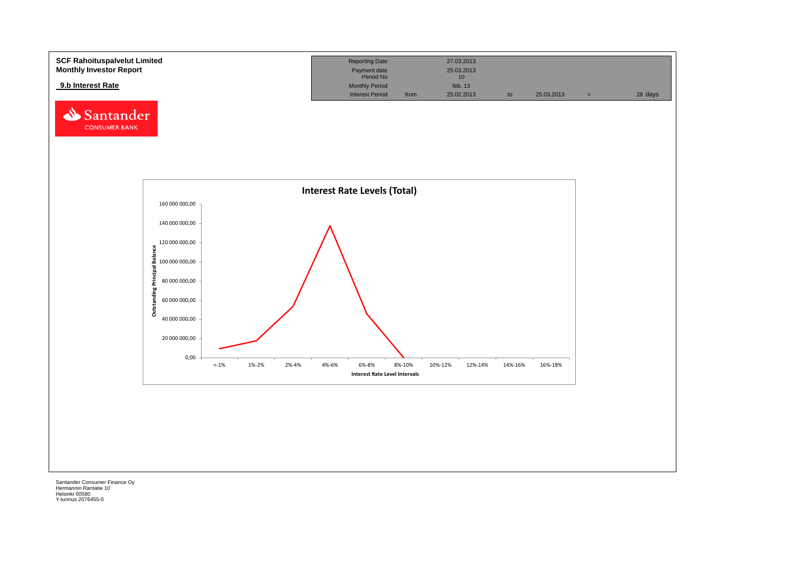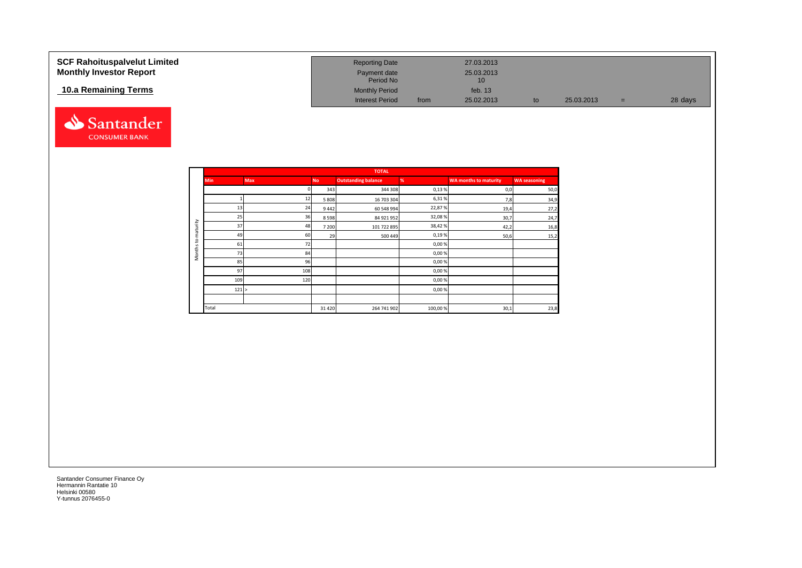| <b>SCF Rahoituspalvelut Limited</b><br><b>Monthly Investor Report</b> | <b>Reporting Date</b><br>Payment date<br>Period No |      | 27.03.2013<br>25.03.2013<br>10 |    |            |     |         |
|-----------------------------------------------------------------------|----------------------------------------------------|------|--------------------------------|----|------------|-----|---------|
| 10.a Remaining Terms                                                  | <b>Monthly Period</b>                              |      | feb. $13$                      |    |            |     |         |
|                                                                       | <b>Interest Period</b>                             | from | 25.02.2013                     | to | 25.03.2013 | $=$ | 28 days |



|                     |            |            |           | <b>TOTAL</b>               |         |                              |                     |
|---------------------|------------|------------|-----------|----------------------------|---------|------------------------------|---------------------|
|                     | <b>Min</b> | <b>Max</b> | <b>No</b> | <b>Outstanding balance</b> | %       | <b>WA months to maturity</b> | <b>WA seasoning</b> |
|                     |            |            | 343       | 344 308                    | 0,13%   | 0,0                          | 50,0                |
|                     |            | 12         | 5 8 0 8   | 16 703 304                 | 6,31%   | 7,8                          | 34,9                |
|                     | 13         | 24         | 9442      | 60 548 994                 | 22,87%  | 19,4                         | 27,2                |
|                     | 25         | 36         | 8598      | 84 921 952                 | 32,08%  | 30,7                         | 24,7                |
| maturity            | 37         | 48         | 7 200     | 101 722 895                | 38,42%  | 42,2                         | 16,8                |
|                     | 49         | 60         | 29        | 500 449                    | 0,19%   | 50,6                         | 15,2                |
| 5                   | 61         | 72         |           |                            | 0,00%   |                              |                     |
| Months <sup>-</sup> | 73         | 84         |           |                            | 0,00%   |                              |                     |
|                     | 85         | 96         |           |                            | 0,00%   |                              |                     |
|                     | 97         | 108        |           |                            | 0,00%   |                              |                     |
|                     | 109        | 120        |           |                            | 0,00%   |                              |                     |
|                     | 121 >      |            |           |                            | 0,00%   |                              |                     |
|                     |            |            |           |                            |         |                              |                     |
|                     | Total      |            | 31 4 20   | 264 741 902                | 100,00% | 30,1                         | 23,8                |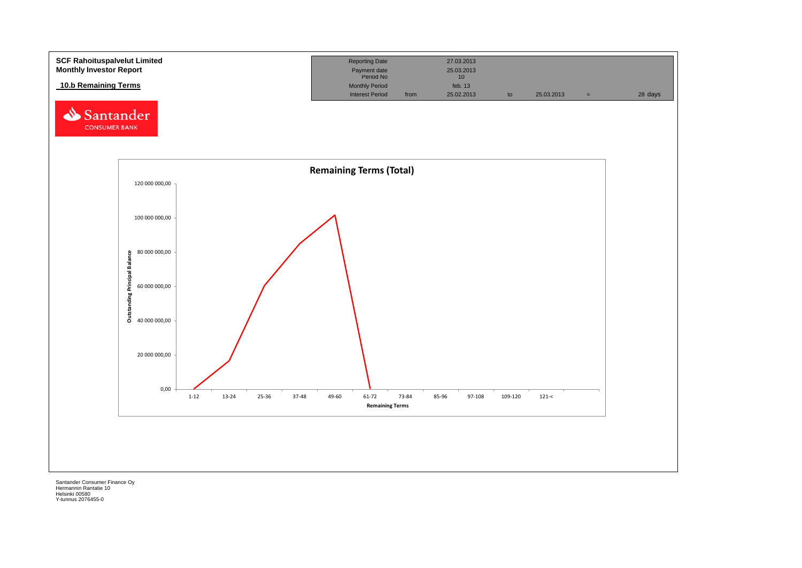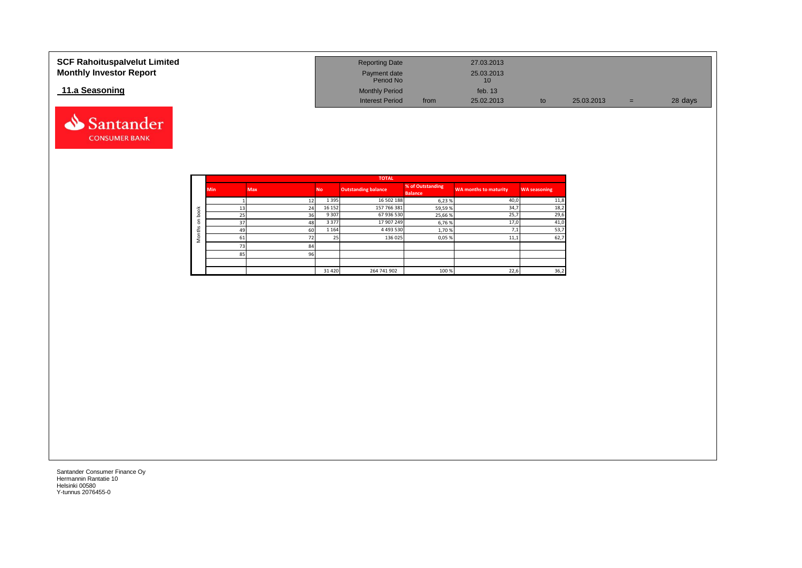| <b>SCF Rahoituspalvelut Limited</b><br><b>Monthly Investor Report</b> | <b>Reporting Date</b><br>Payment date<br>Period No |      | 27.03.2013<br>25.03.2013<br>10 |    |            |     |         |
|-----------------------------------------------------------------------|----------------------------------------------------|------|--------------------------------|----|------------|-----|---------|
| 11.a Seasoning                                                        | <b>Monthly Period</b>                              |      | feb. $13$                      |    |            |     |         |
|                                                                       | <b>Interest Period</b>                             | from | 25.02.2013                     | to | 25.03.2013 | $=$ | 28 days |

|                               |            |            |         | <b>TOTAL</b>               |                                    |                       |                     |
|-------------------------------|------------|------------|---------|----------------------------|------------------------------------|-----------------------|---------------------|
|                               | <b>Min</b> | <b>Max</b> | No.     | <b>Outstanding balance</b> | % of Outstanding<br><b>Balance</b> | WA months to maturity | <b>WA seasoning</b> |
|                               |            |            | 1 3 9 5 | 16 502 188                 | 6,23%                              | 40,0                  | 11,8                |
| $\boldsymbol{\varkappa}$<br>ਠ |            | 24         | 16 15 2 | 157 766 381                | 59,59%                             | 34,7                  | 18,2                |
| C<br>≘                        | 25         | 36         | 9 3 0 7 | 67 936 530                 | 25,66%                             | 25,7                  | 29,6                |
| $\circ$<br>v                  | 37         | 48         | 3 3 7 7 | 17 907 249                 | 6,76%                              | 17,0                  | 41,0                |
| ∸                             | 49         | 60         | 1 1 6 4 | 4 4 9 3 5 3 0              | 1,70%                              | 7,1                   | 53,7                |
| $\circ$                       | 61         |            |         | 136 025                    | 0,05%                              | 11,1                  | 62,7                |
|                               | 72         | 84         |         |                            |                                    |                       |                     |
|                               | 85         | 96         |         |                            |                                    |                       |                     |
|                               |            |            |         |                            |                                    |                       |                     |
|                               |            |            | 31 4 20 | 264 741 902                | 100 %                              | 22,6                  | 36,2                |

Santander **CONSUMER BANK**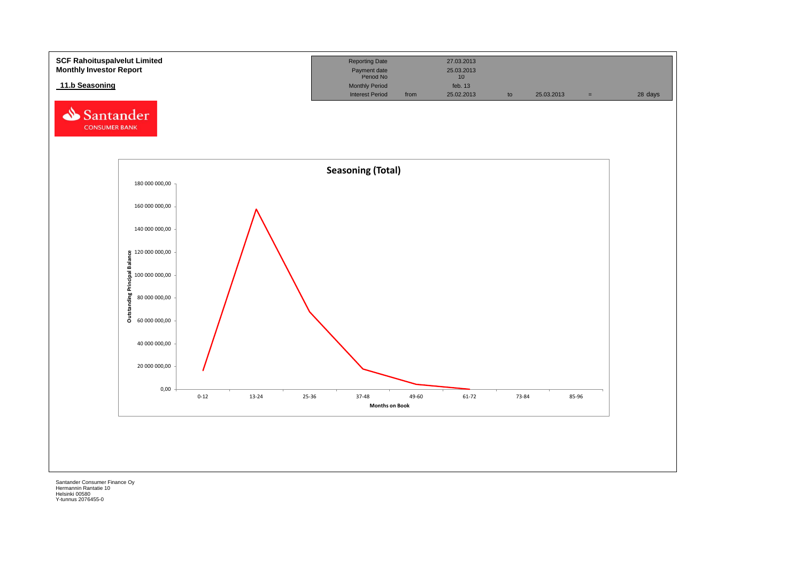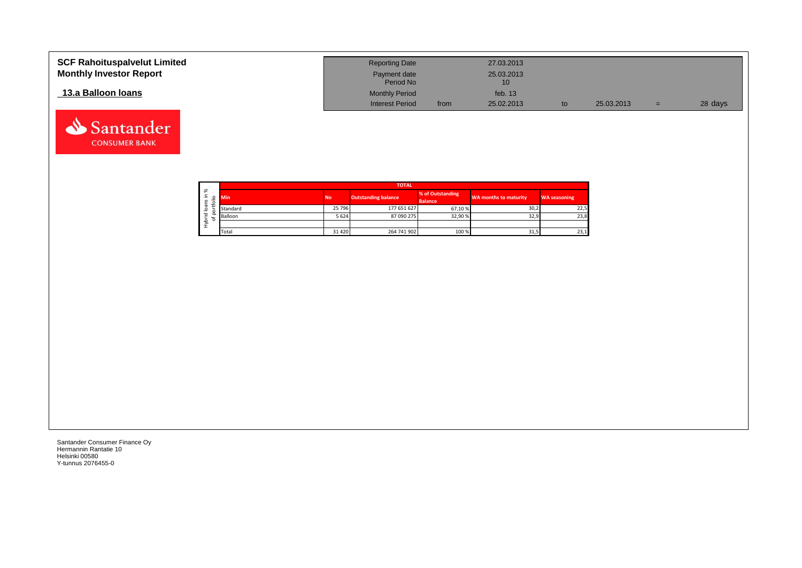| <b>SCF Rahoituspalvelut Limited</b><br><b>Monthly Investor Report</b> | <b>Reporting Date</b><br>Payment date<br>Period No |      | 27.03.2013<br>25.03.2013<br>10 |            |     |         |
|-----------------------------------------------------------------------|----------------------------------------------------|------|--------------------------------|------------|-----|---------|
| 13.a Balloon Ioans                                                    | <b>Monthly Period</b><br><b>Interest Period</b>    | from | feb. $13$<br>25.02.2013        | 25.03.2013 | $=$ | 28 days |



Santander **CONSUMER BANK**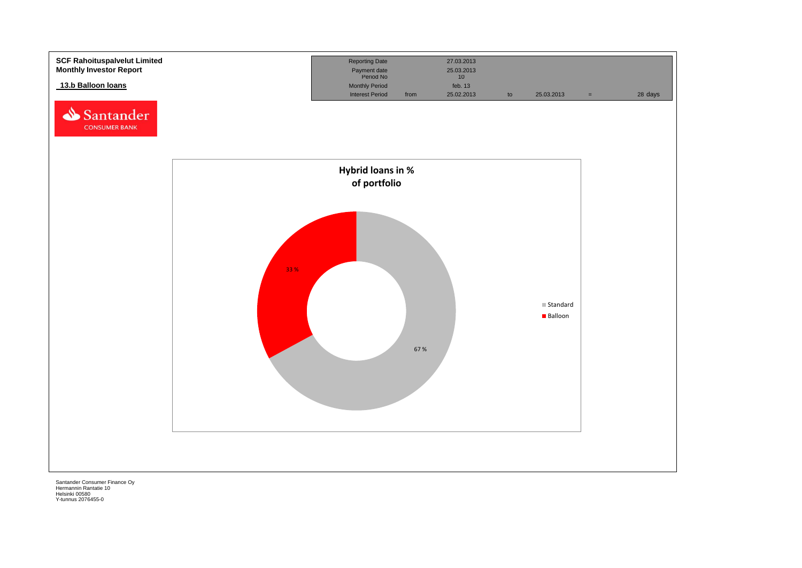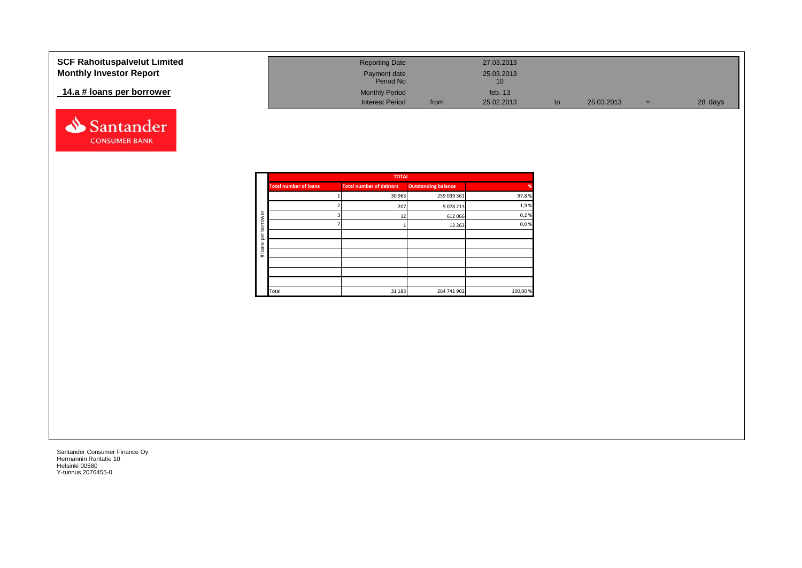| <b>SCF Rahoituspalvelut Limited</b> | <b>Reporting Date</b>     |      | 27.03.2013       |            |     |         |
|-------------------------------------|---------------------------|------|------------------|------------|-----|---------|
| <b>Monthly Investor Report</b>      | Payment date<br>Period No |      | 25.03.2013<br>10 |            |     |         |
| 14.a # loans per borrower           | <b>Monthly Period</b>     |      | feb. 13          |            |     |         |
|                                     | <b>Interest Period</b>    | from | 25.02.2013       | 25.03.2013 | $=$ | 28 days |



|          |                              | <b>TOTAL</b>                   |                            |          |
|----------|------------------------------|--------------------------------|----------------------------|----------|
|          | <b>Total number of loans</b> | <b>Total number of debtors</b> | <b>Outstanding balance</b> | %        |
|          |                              | 30 963                         | 259 039 361                | 97,8%    |
|          |                              | 207                            | 5 078 213                  | 1,9%     |
| ৯<br>row |                              | 12                             | 612 066                    | 0,2%     |
| bor      |                              |                                | 12 2 63                    | 0,0%     |
| per      |                              |                                |                            |          |
|          |                              |                                |                            |          |
| #loans   |                              |                                |                            |          |
|          |                              |                                |                            |          |
|          |                              |                                |                            |          |
|          |                              |                                |                            |          |
|          | Total                        | 31 183                         | 264 741 902                | 100,00 % |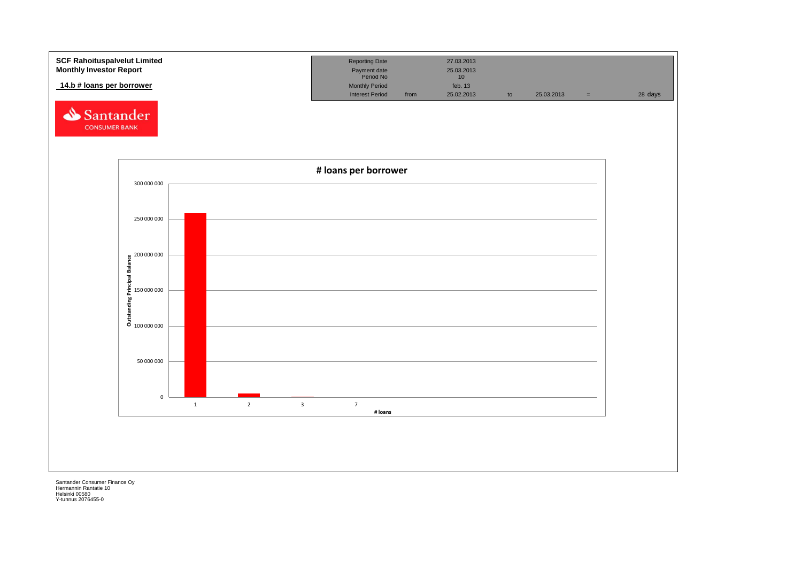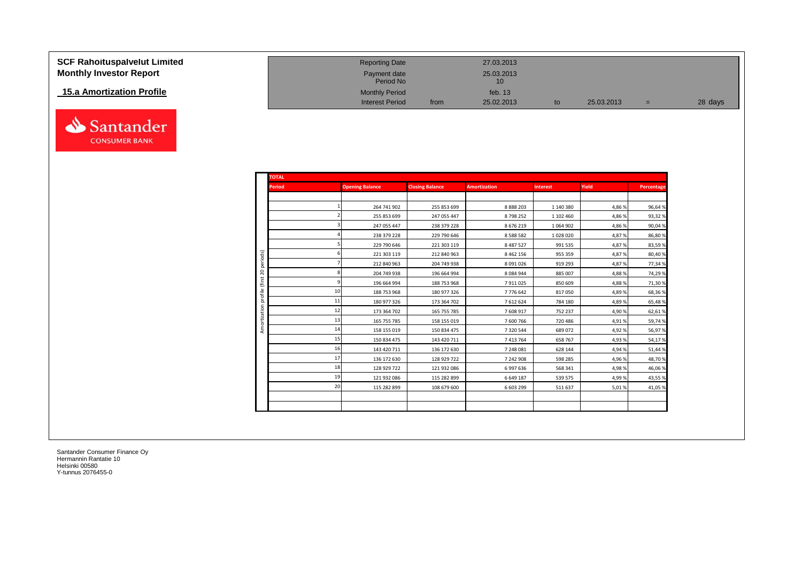| <b>SCF Rahoituspalvelut Limited</b> |
|-------------------------------------|
| <b>Monthly Investor Report</b>      |

## **15.a Amortization Profile**



| <b>SCF Rahoituspalvelut Limited</b> | <b>Reporting Date</b>     |      | 27.03.2013                    |    |            |     |         |
|-------------------------------------|---------------------------|------|-------------------------------|----|------------|-----|---------|
| <b>Monthly Investor Report</b>      | Payment date<br>Period No |      | 25.03.2013<br>10 <sup>1</sup> |    |            |     |         |
| 15.a Amortization Profile           | <b>Monthly Period</b>     |      | feb. $13$                     |    |            |     |         |
|                                     | <b>Interest Period</b>    | from | 25.02.2013                    | to | 25.03.2013 | $=$ | 28 days |

| <b>TOTAL</b>             |    |                        |                        |                     |                 |        |            |
|--------------------------|----|------------------------|------------------------|---------------------|-----------------|--------|------------|
| <b>Period</b>            |    | <b>Opening Balance</b> | <b>Closing Balance</b> | <b>Amortization</b> | <b>Interest</b> | Yield  | Percentage |
|                          |    |                        |                        |                     |                 |        |            |
|                          |    | 264 741 902            | 255 853 699            | 8888203             | 1 140 380       | 4,86 % | 96,64%     |
|                          |    | 255 853 699            | 247 055 447            | 8798252             | 1 102 460       | 4,86 % | 93,32%     |
|                          |    | 247 055 447            | 238 379 228            | 8676219             | 1 0 6 4 9 0 2   | 4,86 % | 90,04%     |
|                          |    | 238 379 228            | 229 790 646            | 8 5 8 8 5 8 2       | 1 028 020       | 4,87%  | 86,80%     |
|                          |    | 229 790 646            | 221 303 119            | 8 4 8 7 5 2 7       | 991 535         | 4,87%  | 83,59%     |
|                          |    | 221 303 119            | 212 840 963            | 8 4 6 2 1 5 6       | 955 359         | 4,87%  | 80,40%     |
| periods)                 |    | 212 840 963            | 204 749 938            | 8091026             | 919 293         | 4,87%  | 77,34%     |
| $\mathbb{S}^2$<br>(first |    | 204 749 938            | 196 664 994            | 8084944             | 885 007         | 4,88%  | 74,29%     |
|                          |    | 196 664 994            | 188 753 968            | 7911025             | 850 609         | 4,88%  | 71,30%     |
|                          | 10 | 188 753 968            | 180 977 326            | 7776642             | 817050          | 4,89%  | 68,36%     |
|                          | 11 | 180 977 326            | 173 364 702            | 7612624             | 784 180         | 4,89%  | 65,48%     |
|                          | 12 | 173 364 702            | 165 755 785            | 7608917             | 752 237         | 4,90%  | 62,61%     |
|                          | 13 | 165 755 785            | 158 155 019            | 7600766             | 720 486         | 4,91%  | 59,74%     |
|                          | 14 | 158 155 019            | 150 834 475            | 7320544             | 689 072         | 4,92%  | 56,97%     |
|                          | 15 | 150 834 475            | 143 420 711            | 7413764             | 658 767         | 4,93%  | 54,17%     |
|                          | 16 | 143 420 711            | 136 172 630            | 7 248 081           | 628 144         | 4,94 % | 51,44%     |
|                          | 17 | 136 172 630            | 128 929 722            | 7 242 908           | 598 285         | 4,96 % | 48,70%     |
|                          | 18 | 128 929 722            | 121 932 086            | 6997636             | 568 341         | 4,98%  | 46,06%     |
|                          | 19 | 121 932 086            | 115 282 899            | 6649187             | 539 575         | 4,99%  | 43,55%     |
|                          | 20 | 115 282 899            | 108 679 600            | 6 603 299           | 511 637         | 5,01%  | 41,05%     |
|                          |    |                        |                        |                     |                 |        |            |
|                          |    |                        |                        |                     |                 |        |            |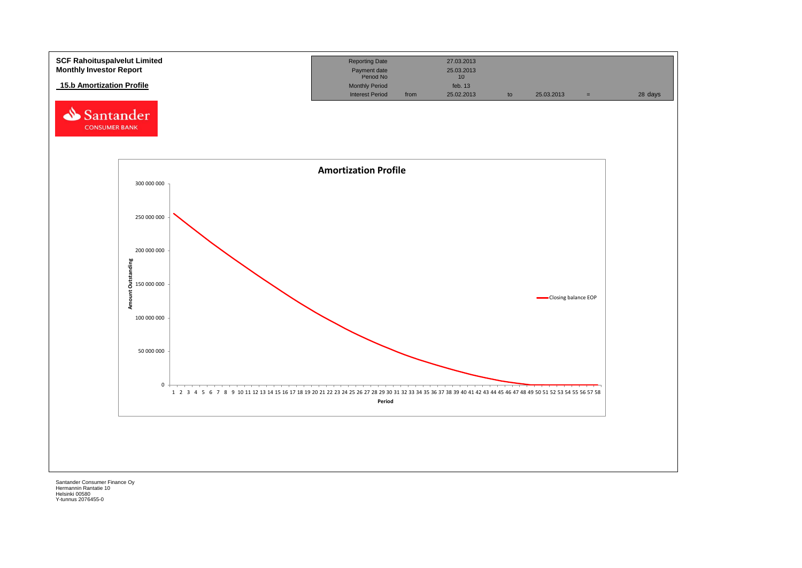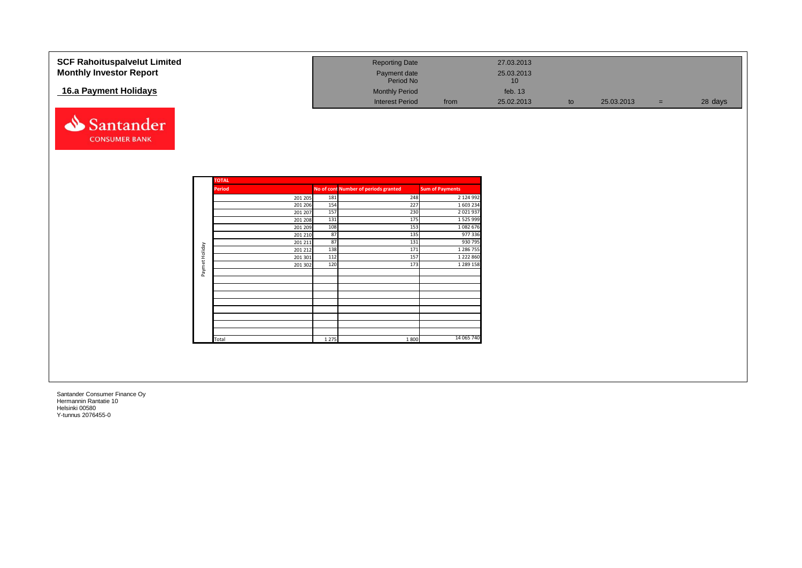| <b>SCF Rahoituspalvelut Limited</b> |                |                    |          | <b>Reporting Date</b>                |                        | 27.03.2013      |    |            |     |         |
|-------------------------------------|----------------|--------------------|----------|--------------------------------------|------------------------|-----------------|----|------------|-----|---------|
| <b>Monthly Investor Report</b>      |                |                    |          | Payment date                         |                        | 25.03.2013      |    |            |     |         |
|                                     |                |                    |          | Period No                            |                        | 10 <sup>°</sup> |    |            |     |         |
| 16.a Payment Holidays               |                |                    |          | <b>Monthly Period</b>                |                        | feb. 13         |    |            |     |         |
|                                     |                |                    |          | <b>Interest Period</b>               | from                   | 25.02.2013      | to | 25.03.2013 | $=$ | 28 days |
|                                     |                |                    |          |                                      |                        |                 |    |            |     |         |
|                                     |                |                    |          |                                      |                        |                 |    |            |     |         |
| Santander                           |                |                    |          |                                      |                        |                 |    |            |     |         |
| <b>CONSUMER BANK</b>                |                |                    |          |                                      |                        |                 |    |            |     |         |
|                                     |                |                    |          |                                      |                        |                 |    |            |     |         |
|                                     |                |                    |          |                                      |                        |                 |    |            |     |         |
|                                     |                |                    |          |                                      |                        |                 |    |            |     |         |
|                                     |                |                    |          |                                      |                        |                 |    |            |     |         |
|                                     |                | <b>TOTAL</b>       |          |                                      |                        |                 |    |            |     |         |
|                                     |                | <b>Period</b>      |          | No of cont Number of periods granted | <b>Sum of Payments</b> |                 |    |            |     |         |
|                                     |                | 201 205            | 181      | 248                                  | 2 124 992              |                 |    |            |     |         |
|                                     |                | 201 206            | 154      | 227                                  | 1 603 234              |                 |    |            |     |         |
|                                     |                | 201 207            | 157      | 230                                  | 2 0 2 1 9 3 7          |                 |    |            |     |         |
|                                     |                | 201 208            | 131      | 175                                  | 1 5 2 5 9 9 9          |                 |    |            |     |         |
|                                     |                | 201 209            | 108      | 153<br>135                           | 1082676<br>977336      |                 |    |            |     |         |
|                                     |                | 201 210            | 87<br>87 | 131                                  | 930 795                |                 |    |            |     |         |
|                                     |                | 201 211<br>201 212 | 138      | 171                                  | 1 286 755              |                 |    |            |     |         |
|                                     |                | 201 301            | 112      | 157                                  | 1 2 2 2 8 6 0          |                 |    |            |     |         |
|                                     |                | 201 302            | 120      | 173                                  | 1 289 158              |                 |    |            |     |         |
|                                     | Paymet Holiday |                    |          |                                      |                        |                 |    |            |     |         |
|                                     |                |                    |          |                                      |                        |                 |    |            |     |         |
|                                     |                |                    |          |                                      |                        |                 |    |            |     |         |
|                                     |                |                    |          |                                      |                        |                 |    |            |     |         |
|                                     |                |                    |          |                                      |                        |                 |    |            |     |         |
|                                     |                |                    |          |                                      |                        |                 |    |            |     |         |
|                                     |                |                    |          |                                      |                        |                 |    |            |     |         |
|                                     |                |                    |          |                                      |                        |                 |    |            |     |         |
|                                     |                | Total              | 1 2 7 5  | 1800                                 | 14 065 740             |                 |    |            |     |         |
|                                     |                |                    |          |                                      |                        |                 |    |            |     |         |
|                                     |                |                    |          |                                      |                        |                 |    |            |     |         |
|                                     |                |                    |          |                                      |                        |                 |    |            |     |         |
|                                     |                |                    |          |                                      |                        |                 |    |            |     |         |
|                                     |                |                    |          |                                      |                        |                 |    |            |     |         |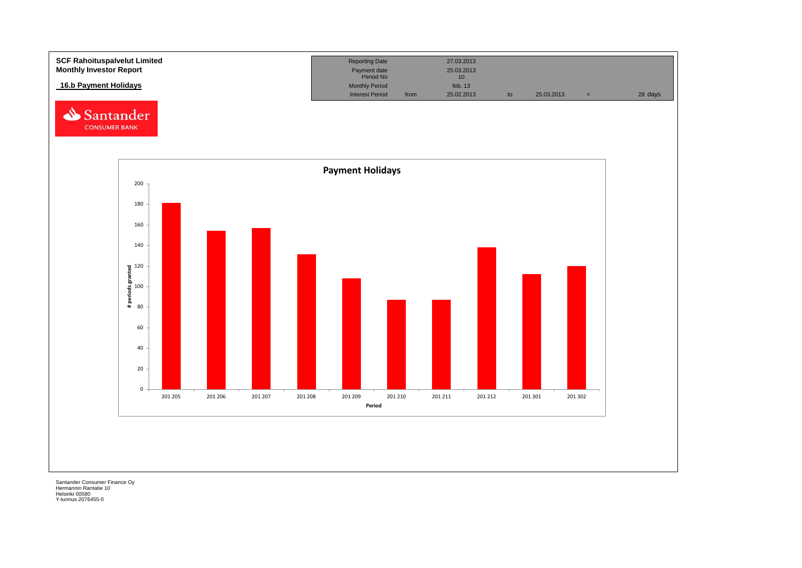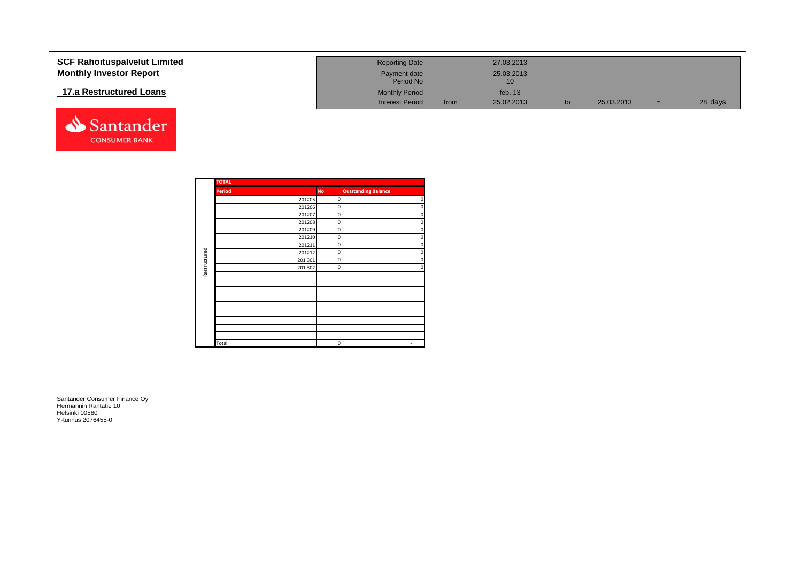| <b>SCF Rahoituspalvelut Limited</b> |              |              |                  |           | <b>Reporting Date</b>         |      | 27.03.2013 |    |            |          |         |
|-------------------------------------|--------------|--------------|------------------|-----------|-------------------------------|------|------------|----|------------|----------|---------|
| <b>Monthly Investor Report</b>      |              |              |                  |           |                               |      | 25.03.2013 |    |            |          |         |
|                                     |              |              |                  |           | Payment date<br>Period No     |      | 10         |    |            |          |         |
|                                     |              |              |                  |           |                               |      |            |    |            |          |         |
| 17.a Restructured Loans             |              |              |                  |           | <b>Monthly Period</b>         |      | feb. 13    |    |            |          |         |
|                                     |              |              |                  |           | <b>Interest Period</b>        | from | 25.02.2013 | to | 25.03.2013 | $\equiv$ | 28 days |
|                                     |              |              |                  |           |                               |      |            |    |            |          |         |
| Santander                           |              |              |                  |           |                               |      |            |    |            |          |         |
|                                     |              |              |                  |           |                               |      |            |    |            |          |         |
| <b>CONSUMER BANK</b>                |              |              |                  |           |                               |      |            |    |            |          |         |
|                                     |              |              |                  |           |                               |      |            |    |            |          |         |
|                                     |              |              |                  |           |                               |      |            |    |            |          |         |
|                                     |              |              |                  |           |                               |      |            |    |            |          |         |
|                                     |              |              |                  |           |                               |      |            |    |            |          |         |
|                                     |              | <b>TOTAL</b> |                  |           |                               |      |            |    |            |          |         |
|                                     |              | Period       |                  | <b>No</b> | <b>Outstanding Balance</b>    |      |            |    |            |          |         |
|                                     |              |              | 201205           |           | $\mathbf 0$                   |      |            |    |            |          |         |
|                                     |              |              | 201206           |           | $\overline{0}$                |      |            |    |            |          |         |
|                                     |              |              | 201207<br>201208 |           | $\overline{0}$<br>$\mathbf 0$ |      |            |    |            |          |         |
|                                     |              |              | 201209           |           | $\mathbf 0$                   |      |            |    |            |          |         |
|                                     |              |              | 201210           |           | $\overline{0}$                |      |            |    |            |          |         |
|                                     |              |              | 201211           |           | $\overline{0}$                |      |            |    |            |          |         |
|                                     | Restructured |              | 201212           |           | $\overline{0}$                |      |            |    |            |          |         |
|                                     |              |              | 201 301          |           | $\mathbf 0$                   |      |            |    |            |          |         |
|                                     |              |              | 201 302          |           | $\overline{0}$                |      |            |    |            |          |         |
|                                     |              |              |                  |           |                               |      |            |    |            |          |         |
|                                     |              |              |                  |           |                               |      |            |    |            |          |         |
|                                     |              |              |                  |           |                               |      |            |    |            |          |         |
|                                     |              |              |                  |           |                               |      |            |    |            |          |         |
|                                     |              |              |                  |           |                               |      |            |    |            |          |         |
|                                     |              |              |                  |           |                               |      |            |    |            |          |         |
|                                     |              |              |                  |           |                               |      |            |    |            |          |         |
|                                     |              |              |                  |           |                               |      |            |    |            |          |         |
|                                     |              | Total        |                  |           | $\overline{0}$<br>$\sim$      |      |            |    |            |          |         |
|                                     |              |              |                  |           |                               |      |            |    |            |          |         |
|                                     |              |              |                  |           |                               |      |            |    |            |          |         |
|                                     |              |              |                  |           |                               |      |            |    |            |          |         |
|                                     |              |              |                  |           |                               |      |            |    |            |          |         |
|                                     |              |              |                  |           |                               |      |            |    |            |          |         |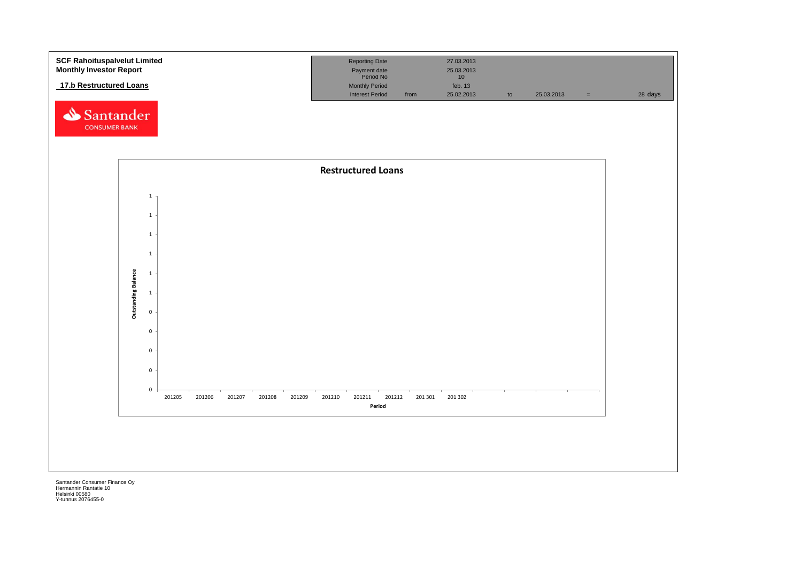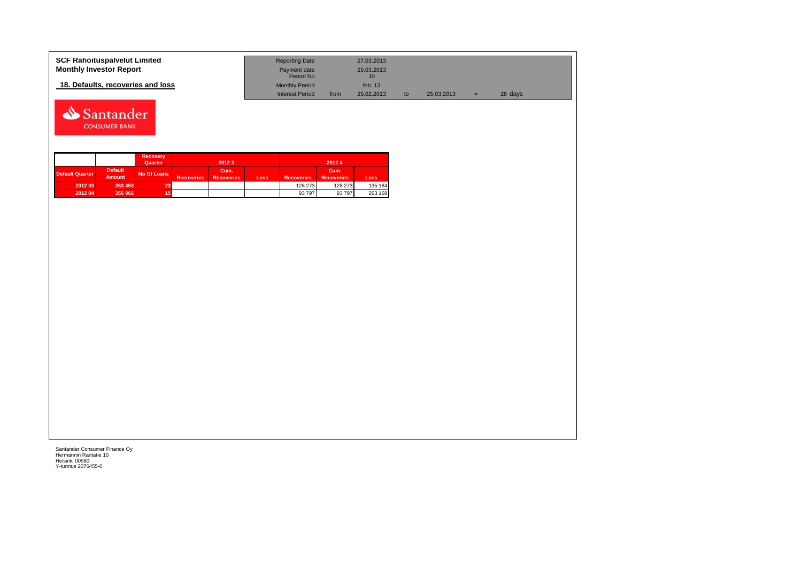| <b>SCF Rahoituspalvelut Limited</b> | <b>Reporting Date</b>     |      | 27.03.2013                    |            |   |         |  |
|-------------------------------------|---------------------------|------|-------------------------------|------------|---|---------|--|
| <b>Monthly Investor Report</b>      | Payment date<br>Period No |      | 25.03.2013<br>10 <sup>1</sup> |            |   |         |  |
| 18. Defaults, recoveries and loss   | <b>Monthly Period</b>     |      | feb. $13$                     |            |   |         |  |
|                                     | <b>Interest Period</b>    | from | 25.02.2013                    | 25.03.2013 | = | 28 days |  |



|                 |                                 | <b>Recovery</b><br>Quarter |                   | 2012 3                    |      |                   | 20124                     |         |
|-----------------|---------------------------------|----------------------------|-------------------|---------------------------|------|-------------------|---------------------------|---------|
| Default Quarter | <b>Default</b><br><b>Amount</b> | No Of Loans                | <b>Recoveries</b> | Cum.<br><b>Recoveries</b> | Loss | <b>Recoveries</b> | Cum.<br><b>Recoveries</b> | Loss    |
| 2012 03         | 263 458                         | 23.                        |                   |                           |      | 128 273           | 128 273                   | 135 184 |
| 2012 04         | 356 966                         |                            |                   |                           |      | 93 797            | 93 797                    | 263 168 |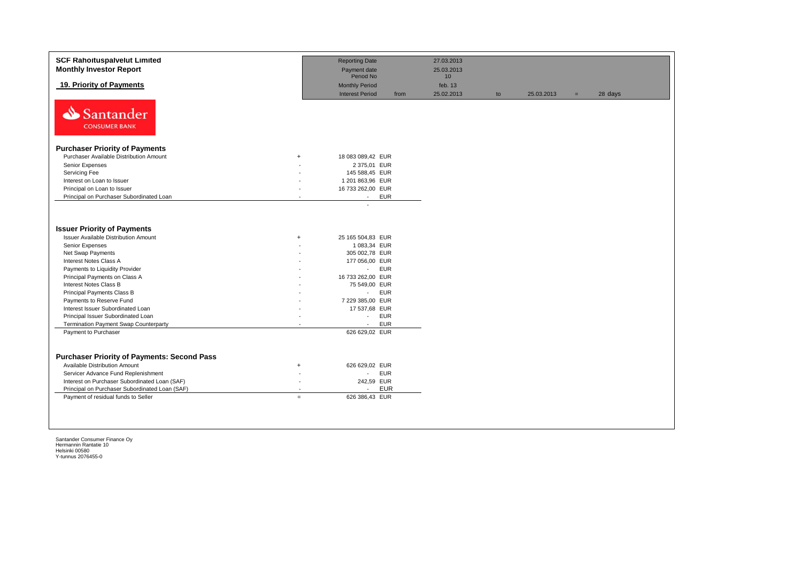| 19. Priority of Payments<br>N<br>Santander<br><b>CONSUMER BANK</b><br><b>Purchaser Priority of Payments</b><br>Purchaser Available Distribution Amount<br>$+$                                                                                                                                          | Period No<br><b>Monthly Period</b><br><b>Interest Period</b><br>from                                                      | 10 <sup>1</sup><br>feb. 13<br>25.02.2013 |    |            |     |         |
|--------------------------------------------------------------------------------------------------------------------------------------------------------------------------------------------------------------------------------------------------------------------------------------------------------|---------------------------------------------------------------------------------------------------------------------------|------------------------------------------|----|------------|-----|---------|
|                                                                                                                                                                                                                                                                                                        |                                                                                                                           |                                          | to | 25.03.2013 | $=$ | 28 days |
|                                                                                                                                                                                                                                                                                                        |                                                                                                                           |                                          |    |            |     |         |
|                                                                                                                                                                                                                                                                                                        |                                                                                                                           |                                          |    |            |     |         |
|                                                                                                                                                                                                                                                                                                        | 18 083 089,42 EUR                                                                                                         |                                          |    |            |     |         |
| Senior Expenses                                                                                                                                                                                                                                                                                        | 2 375,01 EUR                                                                                                              |                                          |    |            |     |         |
| Servicing Fee                                                                                                                                                                                                                                                                                          | 145 588,45 EUR                                                                                                            |                                          |    |            |     |         |
| Interest on Loan to Issuer                                                                                                                                                                                                                                                                             | 1 201 863,96 EUR                                                                                                          |                                          |    |            |     |         |
| Principal on Loan to Issuer                                                                                                                                                                                                                                                                            | 16 733 262,00 EUR                                                                                                         |                                          |    |            |     |         |
| Principal on Purchaser Subordinated Loan                                                                                                                                                                                                                                                               | <b>EUR</b><br>$\sim$                                                                                                      |                                          |    |            |     |         |
| <b>Issuer Priority of Payments</b><br><b>Issuer Available Distribution Amount</b><br>$+$<br>Senior Expenses<br>Net Swap Payments<br>Interest Notes Class A<br>Payments to Liquidity Provider<br>Principal Payments on Class A                                                                          | 25 165 504,83 EUR<br>1 083,34 EUR<br>305 002,78 EUR<br>177 056,00 EUR<br><b>EUR</b><br>$\sim$<br>16 733 262,00 EUR        |                                          |    |            |     |         |
| Interest Notes Class B                                                                                                                                                                                                                                                                                 | 75 549,00 EUR                                                                                                             |                                          |    |            |     |         |
| Principal Payments Class B                                                                                                                                                                                                                                                                             | <b>EUR</b><br>$\sim 10$                                                                                                   |                                          |    |            |     |         |
| Payments to Reserve Fund                                                                                                                                                                                                                                                                               | 7 229 385,00 EUR                                                                                                          |                                          |    |            |     |         |
| Interest Issuer Subordinated Loan                                                                                                                                                                                                                                                                      | 17 537,68 EUR                                                                                                             |                                          |    |            |     |         |
| Principal Issuer Subordinated Loan                                                                                                                                                                                                                                                                     | <b>EUR</b><br>$\overline{\phantom{a}}$                                                                                    |                                          |    |            |     |         |
| Termination Payment Swap Counterparty                                                                                                                                                                                                                                                                  | <b>EUR</b><br>$\blacksquare$                                                                                              |                                          |    |            |     |         |
| Payment to Purchaser                                                                                                                                                                                                                                                                                   | 626 629,02 EUR                                                                                                            |                                          |    |            |     |         |
| <b>Purchaser Priority of Payments: Second Pass</b><br><b>Available Distribution Amount</b><br>$^{+}$<br>Servicer Advance Fund Replenishment<br>Interest on Purchaser Subordinated Loan (SAF)<br>$\sim$<br>Principal on Purchaser Subordinated Loan (SAF)<br>Payment of residual funds to Seller<br>$=$ | 626 629,02 EUR<br><b>EUR</b><br>$\mathcal{L}_{\mathcal{A}}$<br>242,59 EUR<br><b>EUR</b><br>$\mathbf{r}$<br>626 386,43 EUR |                                          |    |            |     |         |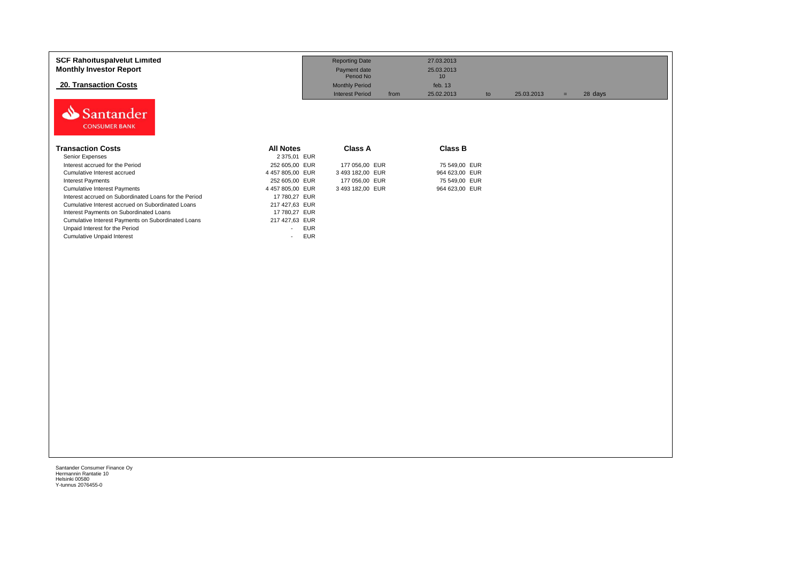| <b>SCF Rahoituspalvelut Limited</b><br><b>Monthly Investor Report</b> |                                        | <b>Reporting Date</b><br>Payment date<br>Period No | 27.03.2013<br>25.03.2013<br>10 |    |            |                |  |
|-----------------------------------------------------------------------|----------------------------------------|----------------------------------------------------|--------------------------------|----|------------|----------------|--|
| <b>20. Transaction Costs</b>                                          |                                        | <b>Monthly Period</b>                              | feb. $13$                      |    |            |                |  |
| <b>Santander</b><br><b>CONSUMER BANK</b>                              |                                        | <b>Interest Period</b>                             | from<br>25.02.2013             | to | 25.03.2013 | 28 days<br>$=$ |  |
| <b>Transaction Costs</b>                                              | <b>All Notes</b>                       | <b>Class A</b>                                     | <b>Class B</b>                 |    |            |                |  |
| Senior Expenses                                                       | 2 375,01 EUR                           |                                                    |                                |    |            |                |  |
| Interest accrued for the Period                                       | 252 605,00 EUR                         | 177 056,00 EUR                                     | 75 549,00 EUR                  |    |            |                |  |
| Cumulative Interest accrued                                           | 4 457 805,00 EUR                       | 3 493 182,00 EUR                                   | 964 623,00 EUR                 |    |            |                |  |
| <b>Interest Payments</b>                                              | 252 605,00 EUR                         | 177 056,00 EUR                                     | 75 549,00 EUR                  |    |            |                |  |
| <b>Cumulative Interest Payments</b>                                   | 4 457 805,00 EUR                       | 3 493 182,00 EUR                                   | 964 623,00 EUR                 |    |            |                |  |
| Interest accrued on Subordinated Loans for the Period                 | 17 780.27 EUR                          |                                                    |                                |    |            |                |  |
| Cumulative Interest accrued on Subordinated Loans                     | 217 427,63 EUR                         |                                                    |                                |    |            |                |  |
| Interest Payments on Subordinated Loans                               | 17 780,27 EUR                          |                                                    |                                |    |            |                |  |
| Cumulative Interest Payments on Subordinated Loans                    | 217 427,63 EUR                         |                                                    |                                |    |            |                |  |
| Unpaid Interest for the Period                                        | <b>EUR</b><br>$\sim$                   |                                                    |                                |    |            |                |  |
| <b>Cumulative Unpaid Interest</b>                                     | <b>EUR</b><br>$\overline{\phantom{a}}$ |                                                    |                                |    |            |                |  |
|                                                                       |                                        |                                                    |                                |    |            |                |  |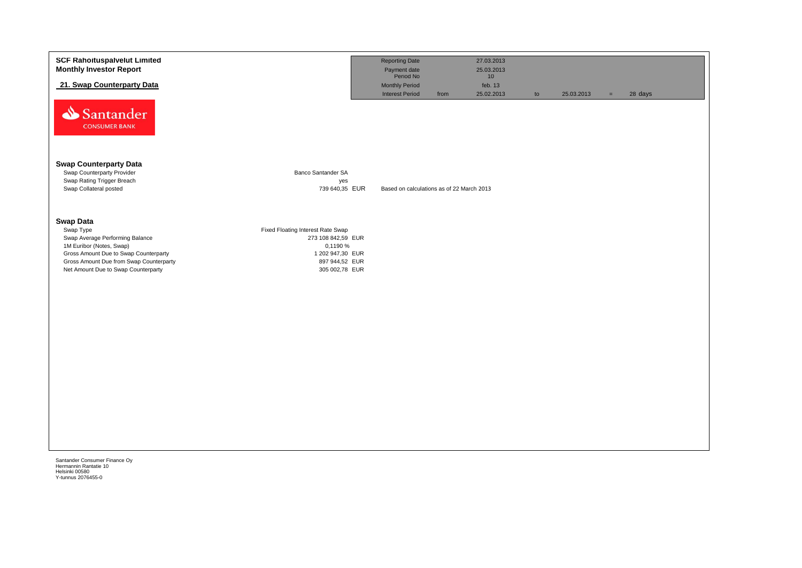| <b>SCF Rahoituspalvelut Limited</b><br><b>Monthly Investor Report</b><br>21. Swap Counterparty Data<br>Santander<br><b>CONSUMER BANK</b>                                                                                |                                                                                                                             | <b>Reporting Date</b><br>Payment date<br>Period No<br><b>Monthly Period</b><br><b>Interest Period</b><br>from | 27.03.2013<br>25.03.2013<br>10<br>feb. 13<br>25.02.2013 | to | 25.03.2013 | $=$ | 28 days |
|-------------------------------------------------------------------------------------------------------------------------------------------------------------------------------------------------------------------------|-----------------------------------------------------------------------------------------------------------------------------|---------------------------------------------------------------------------------------------------------------|---------------------------------------------------------|----|------------|-----|---------|
| <b>Swap Counterparty Data</b><br>Swap Counterparty Provider<br>Swap Rating Trigger Breach<br>Swap Collateral posted                                                                                                     | Banco Santander SA<br>yes<br>739 640,35 EUR                                                                                 | Based on calculations as of 22 March 2013                                                                     |                                                         |    |            |     |         |
| <b>Swap Data</b><br>Swap Type<br>Swap Average Performing Balance<br>1M Euribor (Notes, Swap)<br>Gross Amount Due to Swap Counterparty<br>Gross Amount Due from Swap Counterparty<br>Net Amount Due to Swap Counterparty | Fixed Floating Interest Rate Swap<br>273 108 842,59 EUR<br>0,1190 %<br>1 202 947,30 EUR<br>897 944,52 EUR<br>305 002,78 EUR |                                                                                                               |                                                         |    |            |     |         |
| Santander Consumer Finance Oy<br>Hermannin Rantatie 10                                                                                                                                                                  |                                                                                                                             |                                                                                                               |                                                         |    |            |     |         |